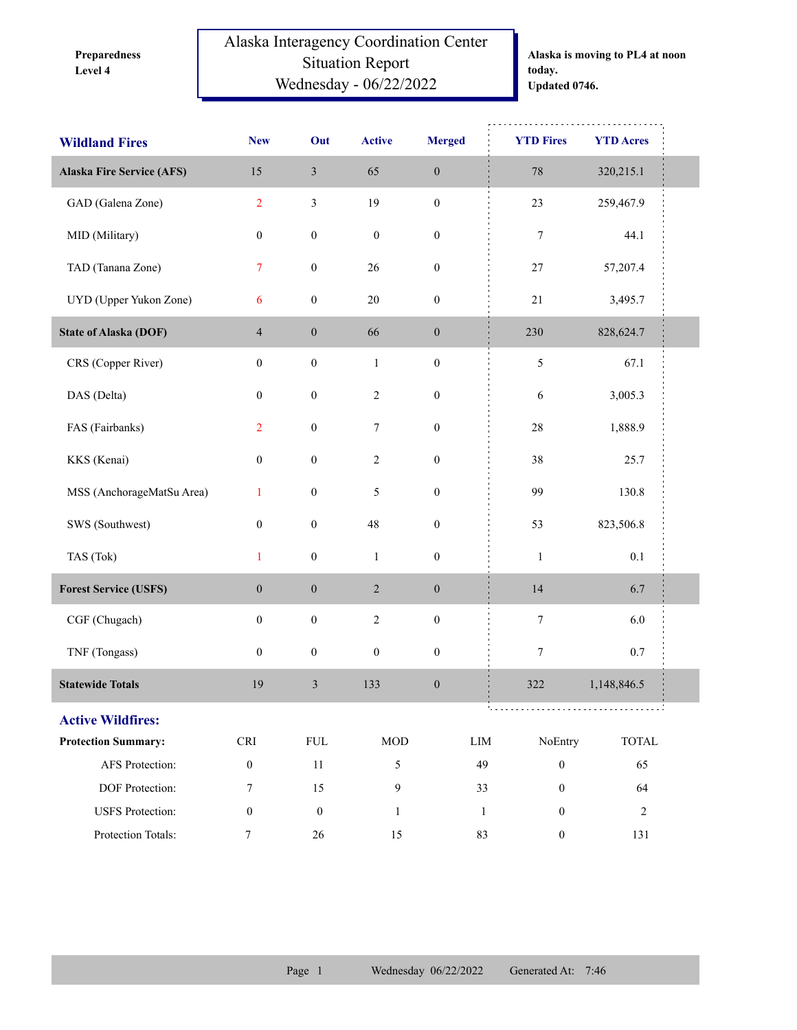**Level 4 Preparedness**  Alaska Interagency Coordination Center Situation Report Wednesday - 06/22/2022

**Alaska is moving to PL4 at noon today. Updated 0746.**

| <b>Wildland Fires</b>            | <b>New</b>                  | Out              | <b>Active</b>    | <b>Merged</b>    | <b>YTD Fires</b>                 | <b>YTD Acres</b>            |
|----------------------------------|-----------------------------|------------------|------------------|------------------|----------------------------------|-----------------------------|
| <b>Alaska Fire Service (AFS)</b> | 15                          | $\mathfrak{Z}$   | 65               | $\boldsymbol{0}$ | 78                               | 320,215.1                   |
| GAD (Galena Zone)                | $\overline{2}$              | $\mathfrak{Z}$   | 19               | $\boldsymbol{0}$ | $23\,$                           | 259,467.9                   |
| MID (Military)                   | $\boldsymbol{0}$            | $\boldsymbol{0}$ | $\boldsymbol{0}$ | $\boldsymbol{0}$ | 7                                | 44.1                        |
| TAD (Tanana Zone)                | 7                           | $\boldsymbol{0}$ | $26\,$           | $\boldsymbol{0}$ | $27\,$                           | 57,207.4                    |
| UYD (Upper Yukon Zone)           | 6                           | $\boldsymbol{0}$ | $20\,$           | $\boldsymbol{0}$ | 21                               | 3,495.7                     |
| <b>State of Alaska (DOF)</b>     | $\overline{4}$              | $\boldsymbol{0}$ | 66               | $\boldsymbol{0}$ | 230                              | 828,624.7                   |
| CRS (Copper River)               | $\boldsymbol{0}$            | $\boldsymbol{0}$ | $\mathbf{1}$     | $\boldsymbol{0}$ | $\mathfrak s$                    | 67.1                        |
| DAS (Delta)                      | $\boldsymbol{0}$            | $\boldsymbol{0}$ | $\sqrt{2}$       | $\boldsymbol{0}$ | $\sqrt{6}$                       | 3,005.3                     |
| FAS (Fairbanks)                  | $\overline{2}$              | $\boldsymbol{0}$ | 7                | $\boldsymbol{0}$ | 28                               | 1,888.9                     |
| KKS (Kenai)                      | $\boldsymbol{0}$            | $\boldsymbol{0}$ | $\sqrt{2}$       | $\boldsymbol{0}$ | 38                               | 25.7                        |
| MSS (AnchorageMatSu Area)        | $\mathbf{1}$                | $\boldsymbol{0}$ | 5                | $\boldsymbol{0}$ | 99                               | 130.8                       |
| SWS (Southwest)                  | $\boldsymbol{0}$            | $\boldsymbol{0}$ | $48\,$           | $\boldsymbol{0}$ | 53                               | 823,506.8                   |
| TAS (Tok)                        | $\mathbf{1}$                | $\boldsymbol{0}$ | $\,1\,$          | $\boldsymbol{0}$ | $\mathbf 1$                      | $0.1\,$                     |
| <b>Forest Service (USFS)</b>     | $\boldsymbol{0}$            | $\boldsymbol{0}$ | $\sqrt{2}$       | $\boldsymbol{0}$ | 14                               | 6.7                         |
| CGF (Chugach)                    | $\boldsymbol{0}$            | $\boldsymbol{0}$ | $\sqrt{2}$       | $\boldsymbol{0}$ | $\boldsymbol{7}$                 | 6.0                         |
| TNF (Tongass)                    | $\boldsymbol{0}$            | $\boldsymbol{0}$ | $\boldsymbol{0}$ | $\boldsymbol{0}$ | $\boldsymbol{7}$                 | 0.7                         |
| <b>Statewide Totals</b>          | 19                          | $\mathfrak z$    | 133              | $\boldsymbol{0}$ | 322                              | 1,148,846.5                 |
| <b>Active Wildfires:</b>         |                             |                  |                  |                  |                                  |                             |
| <b>Protection Summary:</b>       | $\ensuremath{\mathsf{CRI}}$ | ${\rm FUL}$      | $\rm MOD$        |                  | NoEntry<br>LIM                   | $\ensuremath{\text{TOTAL}}$ |
| AFS Protection:                  | $\boldsymbol{0}$            | $11\,$           | 5                |                  | 49<br>$\boldsymbol{0}$           | 65                          |
| DOF Protection:                  | $\tau$                      | 15               | $\mathbf{9}$     |                  | $\boldsymbol{0}$<br>33           | 64                          |
| <b>USFS</b> Protection:          | $\boldsymbol{0}$            | $\boldsymbol{0}$ | $\mathbf{1}$     |                  | $\boldsymbol{0}$<br>$\mathbf{1}$ | $\overline{2}$              |
| Protection Totals:               | $\tau$                      | $26\,$           | 15               |                  | 83<br>$\boldsymbol{0}$           | 131                         |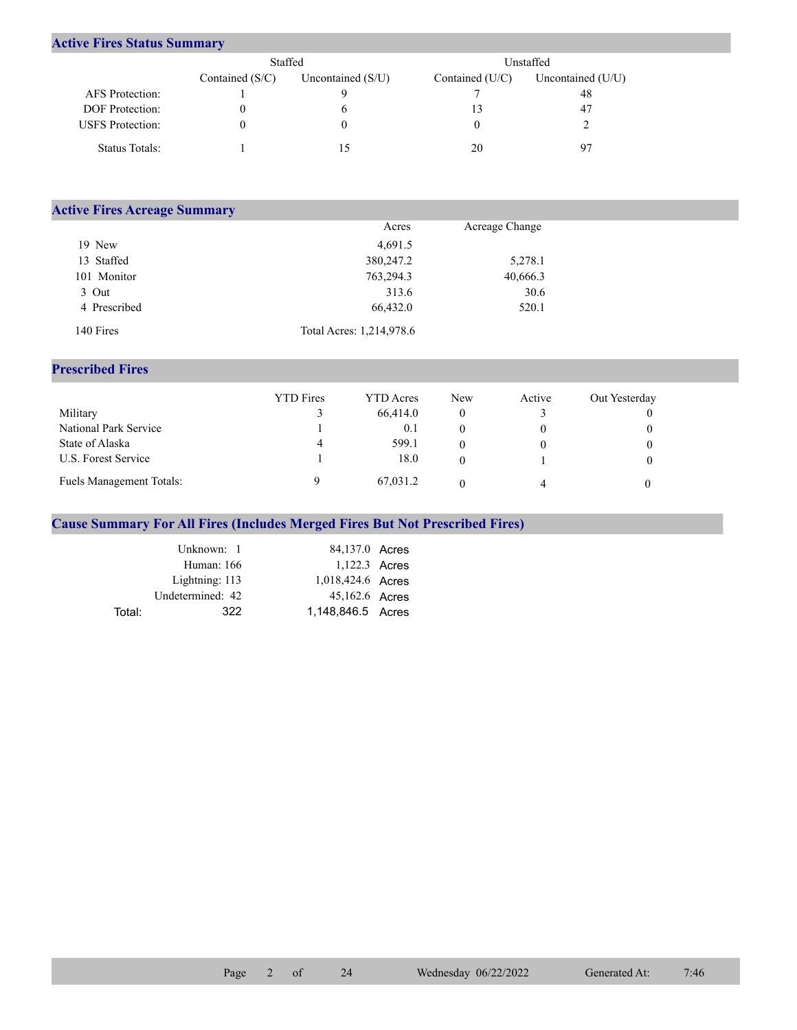## **Active Fires Status Summary**

|                         | Staffed           |                     |                   | Unstaffed           |
|-------------------------|-------------------|---------------------|-------------------|---------------------|
|                         | Contained $(S/C)$ | Uncontained $(S/U)$ | Contained $(U/C)$ | Uncontained $(U/U)$ |
| AFS Protection:         |                   |                     |                   | 48                  |
| <b>DOF</b> Protection:  |                   | <sub>(</sub>        |                   | 47                  |
| <b>USFS</b> Protection: |                   | O                   |                   |                     |
| Status Totals:          |                   |                     | 20                | 97                  |

| <b>Active Fires Acreage Summary</b> |                          |                |  |
|-------------------------------------|--------------------------|----------------|--|
|                                     | Acres                    | Acreage Change |  |
| 19 New                              | 4,691.5                  |                |  |
| 13 Staffed                          | 380,247.2                | 5,278.1        |  |
| 101 Monitor                         | 763,294.3                | 40,666.3       |  |
| 3 Out                               | 313.6                    | 30.6           |  |
| 4 Prescribed                        | 66,432.0                 | 520.1          |  |
| 140 Fires                           | Total Acres: 1,214,978.6 |                |  |

## **Prescribed Fires**

|                                 | <b>YTD</b> Fires | <b>YTD</b> Acres | <b>New</b> | Active | Out Yesterday |
|---------------------------------|------------------|------------------|------------|--------|---------------|
| Military                        |                  | 66,414.0         |            |        |               |
| National Park Service           |                  | 0.1              |            |        |               |
| State of Alaska                 | 4                | 599.1            |            |        |               |
| U.S. Forest Service             |                  | 18.0             |            |        |               |
| <b>Fuels Management Totals:</b> |                  | 67,031.2         |            |        |               |

## **Cause Summary For All Fires (Includes Merged Fires But Not Prescribed Fires)**

|        | Unknown: 1       | 84,137.0 Acres    |  |
|--------|------------------|-------------------|--|
|        | Human: 166       | 1,122.3 Acres     |  |
|        | Lightning: 113   | 1,018,424.6 Acres |  |
|        | Undetermined: 42 | 45,162.6 Acres    |  |
| Total: | 322.             | 1.148.846.5 Acres |  |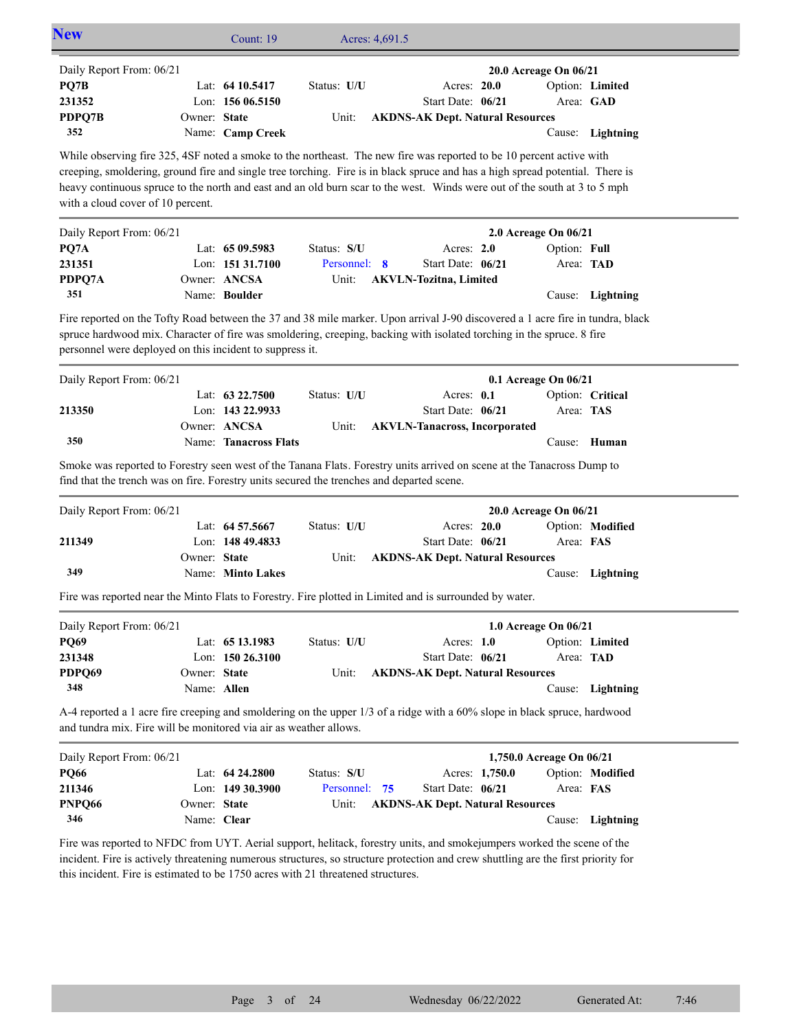| Lat: $6410.5417$<br>Status: U/U<br>Lon: 156 06.5150<br>Owner: State<br>Unit:<br>Name: Camp Creek<br>While observing fire 325, 4SF noted a smoke to the northeast. The new fire was reported to be 10 percent active with<br>creeping, smoldering, ground fire and single tree torching. Fire is in black spruce and has a high spread potential. There is<br>heavy continuous spruce to the north and east and an old burn scar to the west. Winds were out of the south at 3 to 5 mph<br>Lat: 65 09.5983<br>Status: S/U<br>Lon: 151 31.7100<br>Personnel: 8<br>Owner: ANCSA<br>Unit:<br>Name: Boulder<br>Fire reported on the Tofty Road between the 37 and 38 mile marker. Upon arrival J-90 discovered a 1 acre fire in tundra, black<br>spruce hardwood mix. Character of fire was smoldering, creeping, backing with isolated torching in the spruce. 8 fire<br>personnel were deployed on this incident to suppress it.<br>Lat: $63\,22.7500$<br>Status: U/U<br>Lon: 143 22.9933<br>Owner: ANCSA<br>Unit:<br>Name: Tanacross Flats<br>Smoke was reported to Forestry seen west of the Tanana Flats. Forestry units arrived on scene at the Tanacross Dump to<br>find that the trench was on fire. Forestry units secured the trenches and departed scene.<br>Lat: 64 57.5667<br>Status: U/U<br>Lon: 148 49.4833<br>Owner: State |       | Acres: 20.0<br>Start Date: 06/21<br><b>AKDNS-AK Dept. Natural Resources</b><br>Acres: 2.0<br>Start Date: 06/21<br><b>AKVLN-Tozitna</b> , Limited<br>Acres: 0.1<br>Start Date: 06/21<br><b>AKVLN-Tanacross, Incorporated</b> | 20.0 Acreage On 06/21<br>2.0 Acreage On 06/21<br>0.1 Acreage On 06/21 | Option: Full<br>Cause:                                                                                                                     | Option: Limited<br>Area: GAD<br>Cause: Lightning<br>Area: TAD<br>Lightning                                                                                                                                                                           |
|---------------------------------------------------------------------------------------------------------------------------------------------------------------------------------------------------------------------------------------------------------------------------------------------------------------------------------------------------------------------------------------------------------------------------------------------------------------------------------------------------------------------------------------------------------------------------------------------------------------------------------------------------------------------------------------------------------------------------------------------------------------------------------------------------------------------------------------------------------------------------------------------------------------------------------------------------------------------------------------------------------------------------------------------------------------------------------------------------------------------------------------------------------------------------------------------------------------------------------------------------------------------------------------------------------------------------------------|-------|-----------------------------------------------------------------------------------------------------------------------------------------------------------------------------------------------------------------------------|-----------------------------------------------------------------------|--------------------------------------------------------------------------------------------------------------------------------------------|------------------------------------------------------------------------------------------------------------------------------------------------------------------------------------------------------------------------------------------------------|
|                                                                                                                                                                                                                                                                                                                                                                                                                                                                                                                                                                                                                                                                                                                                                                                                                                                                                                                                                                                                                                                                                                                                                                                                                                                                                                                                       |       |                                                                                                                                                                                                                             |                                                                       |                                                                                                                                            |                                                                                                                                                                                                                                                      |
|                                                                                                                                                                                                                                                                                                                                                                                                                                                                                                                                                                                                                                                                                                                                                                                                                                                                                                                                                                                                                                                                                                                                                                                                                                                                                                                                       |       |                                                                                                                                                                                                                             |                                                                       |                                                                                                                                            |                                                                                                                                                                                                                                                      |
|                                                                                                                                                                                                                                                                                                                                                                                                                                                                                                                                                                                                                                                                                                                                                                                                                                                                                                                                                                                                                                                                                                                                                                                                                                                                                                                                       |       |                                                                                                                                                                                                                             |                                                                       |                                                                                                                                            |                                                                                                                                                                                                                                                      |
|                                                                                                                                                                                                                                                                                                                                                                                                                                                                                                                                                                                                                                                                                                                                                                                                                                                                                                                                                                                                                                                                                                                                                                                                                                                                                                                                       |       |                                                                                                                                                                                                                             |                                                                       |                                                                                                                                            |                                                                                                                                                                                                                                                      |
|                                                                                                                                                                                                                                                                                                                                                                                                                                                                                                                                                                                                                                                                                                                                                                                                                                                                                                                                                                                                                                                                                                                                                                                                                                                                                                                                       |       |                                                                                                                                                                                                                             |                                                                       |                                                                                                                                            |                                                                                                                                                                                                                                                      |
|                                                                                                                                                                                                                                                                                                                                                                                                                                                                                                                                                                                                                                                                                                                                                                                                                                                                                                                                                                                                                                                                                                                                                                                                                                                                                                                                       |       |                                                                                                                                                                                                                             |                                                                       |                                                                                                                                            |                                                                                                                                                                                                                                                      |
|                                                                                                                                                                                                                                                                                                                                                                                                                                                                                                                                                                                                                                                                                                                                                                                                                                                                                                                                                                                                                                                                                                                                                                                                                                                                                                                                       |       |                                                                                                                                                                                                                             |                                                                       |                                                                                                                                            |                                                                                                                                                                                                                                                      |
|                                                                                                                                                                                                                                                                                                                                                                                                                                                                                                                                                                                                                                                                                                                                                                                                                                                                                                                                                                                                                                                                                                                                                                                                                                                                                                                                       |       |                                                                                                                                                                                                                             |                                                                       |                                                                                                                                            |                                                                                                                                                                                                                                                      |
|                                                                                                                                                                                                                                                                                                                                                                                                                                                                                                                                                                                                                                                                                                                                                                                                                                                                                                                                                                                                                                                                                                                                                                                                                                                                                                                                       |       |                                                                                                                                                                                                                             |                                                                       |                                                                                                                                            |                                                                                                                                                                                                                                                      |
|                                                                                                                                                                                                                                                                                                                                                                                                                                                                                                                                                                                                                                                                                                                                                                                                                                                                                                                                                                                                                                                                                                                                                                                                                                                                                                                                       |       |                                                                                                                                                                                                                             |                                                                       |                                                                                                                                            |                                                                                                                                                                                                                                                      |
|                                                                                                                                                                                                                                                                                                                                                                                                                                                                                                                                                                                                                                                                                                                                                                                                                                                                                                                                                                                                                                                                                                                                                                                                                                                                                                                                       |       |                                                                                                                                                                                                                             |                                                                       |                                                                                                                                            |                                                                                                                                                                                                                                                      |
|                                                                                                                                                                                                                                                                                                                                                                                                                                                                                                                                                                                                                                                                                                                                                                                                                                                                                                                                                                                                                                                                                                                                                                                                                                                                                                                                       |       |                                                                                                                                                                                                                             |                                                                       |                                                                                                                                            |                                                                                                                                                                                                                                                      |
|                                                                                                                                                                                                                                                                                                                                                                                                                                                                                                                                                                                                                                                                                                                                                                                                                                                                                                                                                                                                                                                                                                                                                                                                                                                                                                                                       |       |                                                                                                                                                                                                                             |                                                                       |                                                                                                                                            |                                                                                                                                                                                                                                                      |
|                                                                                                                                                                                                                                                                                                                                                                                                                                                                                                                                                                                                                                                                                                                                                                                                                                                                                                                                                                                                                                                                                                                                                                                                                                                                                                                                       |       |                                                                                                                                                                                                                             |                                                                       |                                                                                                                                            |                                                                                                                                                                                                                                                      |
|                                                                                                                                                                                                                                                                                                                                                                                                                                                                                                                                                                                                                                                                                                                                                                                                                                                                                                                                                                                                                                                                                                                                                                                                                                                                                                                                       |       |                                                                                                                                                                                                                             |                                                                       |                                                                                                                                            | Option: Critical                                                                                                                                                                                                                                     |
|                                                                                                                                                                                                                                                                                                                                                                                                                                                                                                                                                                                                                                                                                                                                                                                                                                                                                                                                                                                                                                                                                                                                                                                                                                                                                                                                       |       |                                                                                                                                                                                                                             |                                                                       | Area: TAS                                                                                                                                  |                                                                                                                                                                                                                                                      |
|                                                                                                                                                                                                                                                                                                                                                                                                                                                                                                                                                                                                                                                                                                                                                                                                                                                                                                                                                                                                                                                                                                                                                                                                                                                                                                                                       |       |                                                                                                                                                                                                                             |                                                                       |                                                                                                                                            |                                                                                                                                                                                                                                                      |
|                                                                                                                                                                                                                                                                                                                                                                                                                                                                                                                                                                                                                                                                                                                                                                                                                                                                                                                                                                                                                                                                                                                                                                                                                                                                                                                                       |       |                                                                                                                                                                                                                             |                                                                       |                                                                                                                                            | Cause: Human                                                                                                                                                                                                                                         |
|                                                                                                                                                                                                                                                                                                                                                                                                                                                                                                                                                                                                                                                                                                                                                                                                                                                                                                                                                                                                                                                                                                                                                                                                                                                                                                                                       |       | Acres: 20.0                                                                                                                                                                                                                 | 20.0 Acreage On 06/21                                                 |                                                                                                                                            | Option: Modified                                                                                                                                                                                                                                     |
|                                                                                                                                                                                                                                                                                                                                                                                                                                                                                                                                                                                                                                                                                                                                                                                                                                                                                                                                                                                                                                                                                                                                                                                                                                                                                                                                       |       | Start Date: 06/21                                                                                                                                                                                                           |                                                                       | Area: FAS                                                                                                                                  |                                                                                                                                                                                                                                                      |
|                                                                                                                                                                                                                                                                                                                                                                                                                                                                                                                                                                                                                                                                                                                                                                                                                                                                                                                                                                                                                                                                                                                                                                                                                                                                                                                                       |       |                                                                                                                                                                                                                             |                                                                       |                                                                                                                                            |                                                                                                                                                                                                                                                      |
| Name: Minto Lakes                                                                                                                                                                                                                                                                                                                                                                                                                                                                                                                                                                                                                                                                                                                                                                                                                                                                                                                                                                                                                                                                                                                                                                                                                                                                                                                     |       |                                                                                                                                                                                                                             |                                                                       |                                                                                                                                            | Cause: Lightning                                                                                                                                                                                                                                     |
|                                                                                                                                                                                                                                                                                                                                                                                                                                                                                                                                                                                                                                                                                                                                                                                                                                                                                                                                                                                                                                                                                                                                                                                                                                                                                                                                       |       |                                                                                                                                                                                                                             |                                                                       |                                                                                                                                            |                                                                                                                                                                                                                                                      |
|                                                                                                                                                                                                                                                                                                                                                                                                                                                                                                                                                                                                                                                                                                                                                                                                                                                                                                                                                                                                                                                                                                                                                                                                                                                                                                                                       |       |                                                                                                                                                                                                                             |                                                                       |                                                                                                                                            |                                                                                                                                                                                                                                                      |
|                                                                                                                                                                                                                                                                                                                                                                                                                                                                                                                                                                                                                                                                                                                                                                                                                                                                                                                                                                                                                                                                                                                                                                                                                                                                                                                                       |       |                                                                                                                                                                                                                             |                                                                       |                                                                                                                                            | Option: Limited                                                                                                                                                                                                                                      |
| Lon: 150 26.3100                                                                                                                                                                                                                                                                                                                                                                                                                                                                                                                                                                                                                                                                                                                                                                                                                                                                                                                                                                                                                                                                                                                                                                                                                                                                                                                      |       |                                                                                                                                                                                                                             |                                                                       |                                                                                                                                            |                                                                                                                                                                                                                                                      |
| Owner: State                                                                                                                                                                                                                                                                                                                                                                                                                                                                                                                                                                                                                                                                                                                                                                                                                                                                                                                                                                                                                                                                                                                                                                                                                                                                                                                          |       |                                                                                                                                                                                                                             |                                                                       |                                                                                                                                            |                                                                                                                                                                                                                                                      |
|                                                                                                                                                                                                                                                                                                                                                                                                                                                                                                                                                                                                                                                                                                                                                                                                                                                                                                                                                                                                                                                                                                                                                                                                                                                                                                                                       |       |                                                                                                                                                                                                                             |                                                                       |                                                                                                                                            | Cause: Lightning                                                                                                                                                                                                                                     |
|                                                                                                                                                                                                                                                                                                                                                                                                                                                                                                                                                                                                                                                                                                                                                                                                                                                                                                                                                                                                                                                                                                                                                                                                                                                                                                                                       |       |                                                                                                                                                                                                                             |                                                                       |                                                                                                                                            |                                                                                                                                                                                                                                                      |
| Name: Allen                                                                                                                                                                                                                                                                                                                                                                                                                                                                                                                                                                                                                                                                                                                                                                                                                                                                                                                                                                                                                                                                                                                                                                                                                                                                                                                           |       |                                                                                                                                                                                                                             |                                                                       |                                                                                                                                            |                                                                                                                                                                                                                                                      |
| and tundra mix. Fire will be monitored via air as weather allows.                                                                                                                                                                                                                                                                                                                                                                                                                                                                                                                                                                                                                                                                                                                                                                                                                                                                                                                                                                                                                                                                                                                                                                                                                                                                     |       |                                                                                                                                                                                                                             |                                                                       |                                                                                                                                            |                                                                                                                                                                                                                                                      |
|                                                                                                                                                                                                                                                                                                                                                                                                                                                                                                                                                                                                                                                                                                                                                                                                                                                                                                                                                                                                                                                                                                                                                                                                                                                                                                                                       |       |                                                                                                                                                                                                                             | 1,750.0 Acreage On 06/21                                              |                                                                                                                                            |                                                                                                                                                                                                                                                      |
| Lat: 64 24.2800<br>Status: S/U                                                                                                                                                                                                                                                                                                                                                                                                                                                                                                                                                                                                                                                                                                                                                                                                                                                                                                                                                                                                                                                                                                                                                                                                                                                                                                        |       |                                                                                                                                                                                                                             | Acres: 1,750.0                                                        |                                                                                                                                            |                                                                                                                                                                                                                                                      |
| Lon: 149 30.3900<br>Personnel: 75                                                                                                                                                                                                                                                                                                                                                                                                                                                                                                                                                                                                                                                                                                                                                                                                                                                                                                                                                                                                                                                                                                                                                                                                                                                                                                     |       | Start Date: 06/21                                                                                                                                                                                                           |                                                                       | Area: FAS                                                                                                                                  | Option: Modified                                                                                                                                                                                                                                     |
| Owner: State<br>Unit:                                                                                                                                                                                                                                                                                                                                                                                                                                                                                                                                                                                                                                                                                                                                                                                                                                                                                                                                                                                                                                                                                                                                                                                                                                                                                                                 |       | <b>AKDNS-AK Dept. Natural Resources</b>                                                                                                                                                                                     |                                                                       |                                                                                                                                            |                                                                                                                                                                                                                                                      |
| Lat: 65 13.1983                                                                                                                                                                                                                                                                                                                                                                                                                                                                                                                                                                                                                                                                                                                                                                                                                                                                                                                                                                                                                                                                                                                                                                                                                                                                                                                       | Unit: | Status: U/U<br>Unit:                                                                                                                                                                                                        |                                                                       | Fire was reported near the Minto Flats to Forestry. Fire plotted in Limited and is surrounded by water.<br>Acres: 1.0<br>Start Date: 06/21 | <b>AKDNS-AK Dept. Natural Resources</b><br>1.0 Acreage On 06/21<br>Area: TAD<br><b>AKDNS-AK Dept. Natural Resources</b><br>A-4 reported a 1 acre fire creeping and smoldering on the upper 1/3 of a ridge with a 60% slope in black spruce, hardwood |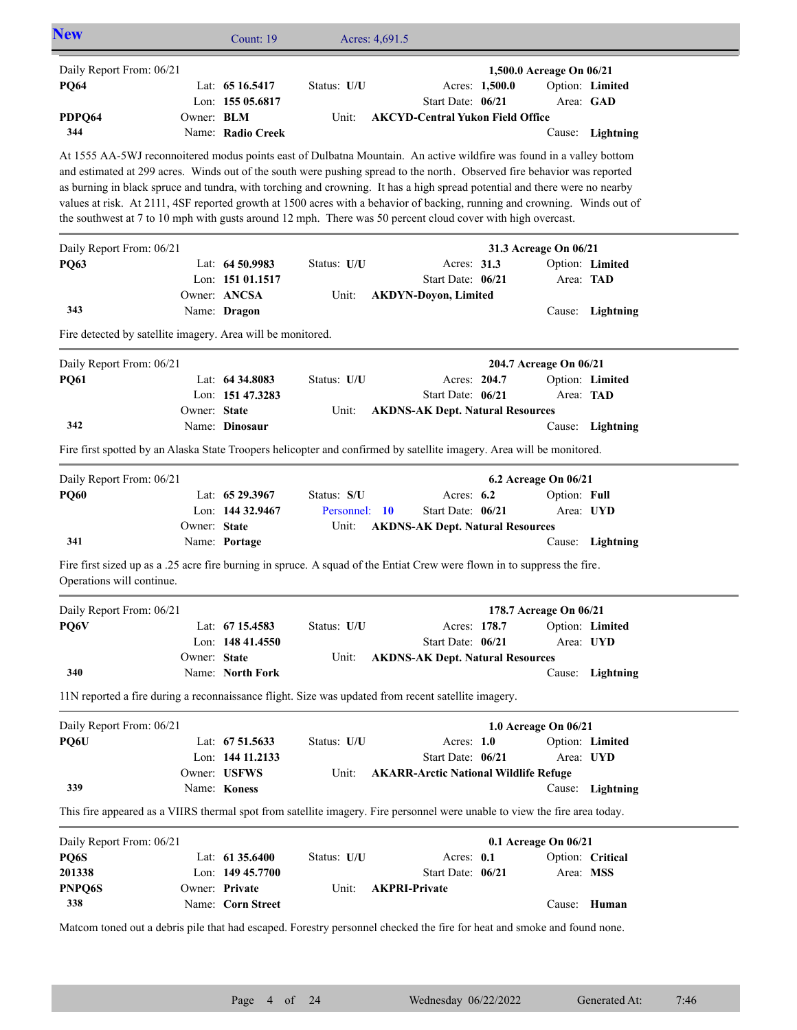| <b>New</b>                                                  |              | Count: 19                        | Acres: 4,691.5 |                                                                                                                                                                                                                                                         |                                      |                  |
|-------------------------------------------------------------|--------------|----------------------------------|----------------|---------------------------------------------------------------------------------------------------------------------------------------------------------------------------------------------------------------------------------------------------------|--------------------------------------|------------------|
| Daily Report From: 06/21                                    |              |                                  |                |                                                                                                                                                                                                                                                         | 1,500.0 Acreage On 06/21             |                  |
| <b>PQ64</b>                                                 |              | Lat: 65 16.5417                  | Status: U/U    | Acres: 1,500.0                                                                                                                                                                                                                                          |                                      | Option: Limited  |
| PDPQ64                                                      | Owner: BLM   | Lon: 155 05.6817                 | Unit:          | Start Date: 06/21<br><b>AKCYD-Central Yukon Field Office</b>                                                                                                                                                                                            |                                      | Area: GAD        |
| 344                                                         |              | Name: Radio Creek                |                |                                                                                                                                                                                                                                                         |                                      | Cause: Lightning |
|                                                             |              |                                  |                | At 1555 AA-5WJ reconnoitered modus points east of Dulbatna Mountain. An active wildfire was found in a valley bottom                                                                                                                                    |                                      |                  |
|                                                             |              |                                  |                | and estimated at 299 acres. Winds out of the south were pushing spread to the north. Observed fire behavior was reported                                                                                                                                |                                      |                  |
|                                                             |              |                                  |                | as burning in black spruce and tundra, with torching and crowning. It has a high spread potential and there were no nearby<br>values at risk. At 2111, 4SF reported growth at 1500 acres with a behavior of backing, running and crowning. Winds out of |                                      |                  |
|                                                             |              |                                  |                | the southwest at 7 to 10 mph with gusts around 12 mph. There was 50 percent cloud cover with high overcast.                                                                                                                                             |                                      |                  |
| Daily Report From: 06/21                                    |              |                                  |                |                                                                                                                                                                                                                                                         | 31.3 Acreage On 06/21                |                  |
| <b>PQ63</b>                                                 |              | Lat: 64 50.9983                  | Status: U/U    | Acres: 31.3                                                                                                                                                                                                                                             |                                      | Option: Limited  |
|                                                             |              | Lon: 151 01.1517                 |                | Start Date: 06/21                                                                                                                                                                                                                                       |                                      | Area: TAD        |
|                                                             |              | Owner: ANCSA                     | Unit:          | <b>AKDYN-Doyon, Limited</b>                                                                                                                                                                                                                             |                                      |                  |
| 343                                                         |              | Name: Dragon                     |                |                                                                                                                                                                                                                                                         |                                      | Cause: Lightning |
| Fire detected by satellite imagery. Area will be monitored. |              |                                  |                |                                                                                                                                                                                                                                                         |                                      |                  |
| Daily Report From: 06/21                                    |              |                                  |                |                                                                                                                                                                                                                                                         | 204.7 Acreage On 06/21               |                  |
| <b>PQ61</b>                                                 |              | Lat: 64 34,8083                  | Status: U/U    | Acres: 204.7                                                                                                                                                                                                                                            |                                      | Option: Limited  |
|                                                             | Owner: State | Lon: 151 47.3283                 | Unit:          | Start Date: 06/21<br><b>AKDNS-AK Dept. Natural Resources</b>                                                                                                                                                                                            |                                      | Area: TAD        |
| 342                                                         |              | Name: Dinosaur                   |                |                                                                                                                                                                                                                                                         |                                      | Cause: Lightning |
|                                                             |              |                                  |                | Fire first spotted by an Alaska State Troopers helicopter and confirmed by satellite imagery. Area will be monitored.                                                                                                                                   |                                      |                  |
|                                                             |              |                                  |                |                                                                                                                                                                                                                                                         |                                      |                  |
| Daily Report From: 06/21<br><b>PQ60</b>                     |              | Lat: 65 29.3967                  | Status: S/U    | Acres: 6.2                                                                                                                                                                                                                                              | 6.2 Acreage On 06/21<br>Option: Full |                  |
|                                                             |              | Lon: 144 32.9467                 | Personnel: 10  | Start Date: 06/21                                                                                                                                                                                                                                       |                                      | Area: UYD        |
|                                                             | Owner: State |                                  | Unit:          | <b>AKDNS-AK Dept. Natural Resources</b>                                                                                                                                                                                                                 |                                      |                  |
| 341                                                         |              | Name: Portage                    |                |                                                                                                                                                                                                                                                         |                                      | Cause: Lightning |
| Operations will continue.                                   |              |                                  |                | Fire first sized up as a .25 acre fire burning in spruce. A squad of the Entiat Crew were flown in to suppress the fire.                                                                                                                                |                                      |                  |
| Daily Report From: 06/21                                    |              |                                  |                |                                                                                                                                                                                                                                                         | 178.7 Acreage On 06/21               |                  |
| PQ6V                                                        |              | Lat: 67 15.4583                  | Status: U/U    | Acres: 178.7                                                                                                                                                                                                                                            |                                      | Option: Limited  |
|                                                             |              | Lon: $14841.4550$                |                | Start Date: 06/21                                                                                                                                                                                                                                       |                                      | Area: UYD        |
|                                                             | Owner: State |                                  | Unit:          | <b>AKDNS-AK Dept. Natural Resources</b>                                                                                                                                                                                                                 |                                      |                  |
| 340                                                         |              | Name: North Fork                 |                |                                                                                                                                                                                                                                                         |                                      | Cause: Lightning |
|                                                             |              |                                  |                | 11N reported a fire during a reconnaissance flight. Size was updated from recent satellite imagery.                                                                                                                                                     |                                      |                  |
| Daily Report From: 06/21                                    |              |                                  |                |                                                                                                                                                                                                                                                         | 1.0 Acreage On 06/21                 |                  |
| PQ6U                                                        |              | Lat: 67 51.5633                  | Status: U/U    | Acres: 1.0                                                                                                                                                                                                                                              |                                      | Option: Limited  |
|                                                             |              | Lon: 144 11.2133<br>Owner: USFWS | Unit:          | Start Date: 06/21<br><b>AKARR-Arctic National Wildlife Refuge</b>                                                                                                                                                                                       |                                      | Area: UYD        |
| 339                                                         |              | Name: Koness                     |                |                                                                                                                                                                                                                                                         |                                      | Cause: Lightning |
|                                                             |              |                                  |                | This fire appeared as a VIIRS thermal spot from satellite imagery. Fire personnel were unable to view the fire area today.                                                                                                                              |                                      |                  |
| Daily Report From: 06/21                                    |              |                                  |                |                                                                                                                                                                                                                                                         |                                      |                  |
| PQ6S                                                        |              | Lat: $6135.6400$                 | Status: U/U    | Acres: 0.1                                                                                                                                                                                                                                              | 0.1 Acreage On 06/21                 | Option: Critical |
| 201338                                                      |              | Lon: 149 45.7700                 |                | Start Date: 06/21                                                                                                                                                                                                                                       |                                      | Area: MSS        |
| PNPQ6S                                                      |              | Owner: Private                   | Unit:          | <b>AKPRI-Private</b>                                                                                                                                                                                                                                    |                                      |                  |
| 338                                                         |              | Name: Corn Street                |                |                                                                                                                                                                                                                                                         |                                      | Cause: Human     |
|                                                             |              |                                  |                | Matcom toned out a debris pile that had escaped. Forestry personnel checked the fire for heat and smoke and found none.                                                                                                                                 |                                      |                  |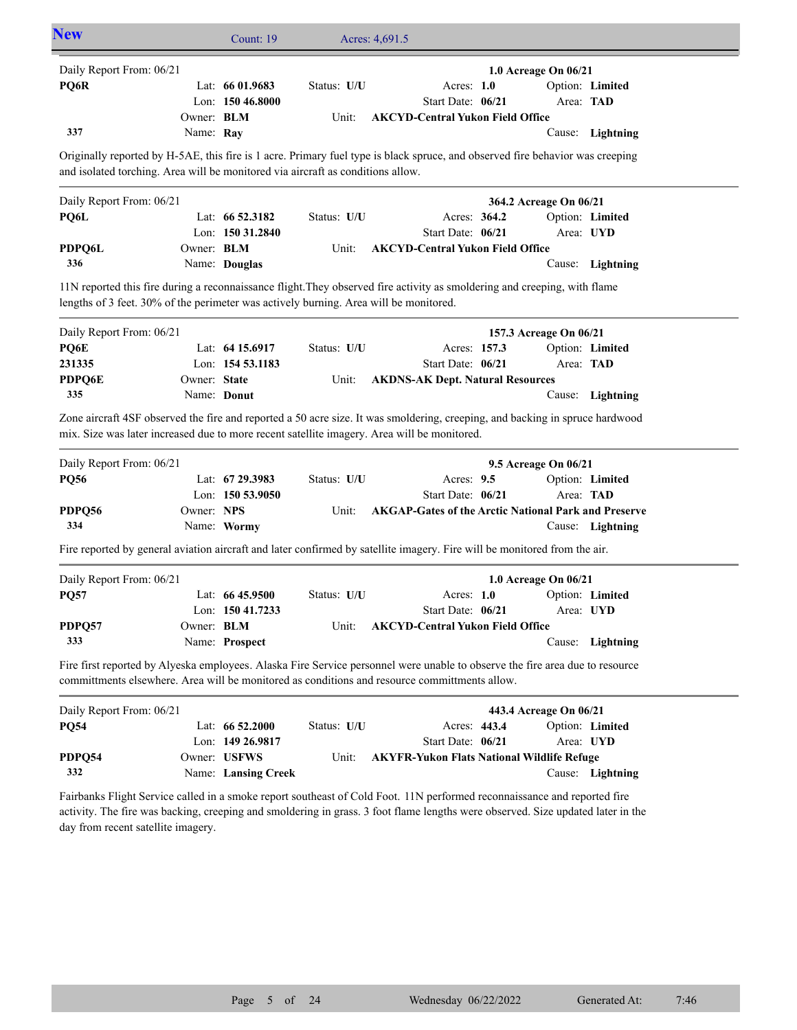| <b>New</b>                                                                                                                                                                                                                                              |                   | Count: 19           |             | Acres: 4,691.5                                               |              |                        |                  |
|---------------------------------------------------------------------------------------------------------------------------------------------------------------------------------------------------------------------------------------------------------|-------------------|---------------------|-------------|--------------------------------------------------------------|--------------|------------------------|------------------|
| Daily Report From: 06/21                                                                                                                                                                                                                                |                   |                     |             |                                                              |              | 1.0 Acreage On 06/21   |                  |
| PQ6R                                                                                                                                                                                                                                                    |                   | Lat: $6601.9683$    | Status: U/U | Acres: 1.0                                                   |              |                        | Option: Limited  |
|                                                                                                                                                                                                                                                         | Owner: BLM        | Lon: 150 46.8000    | Unit:       | Start Date: 06/21<br><b>AKCYD-Central Yukon Field Office</b> |              | Area: TAD              |                  |
| 337                                                                                                                                                                                                                                                     | Name: Ray         |                     |             |                                                              |              |                        | Cause: Lightning |
| Originally reported by H-5AE, this fire is 1 acre. Primary fuel type is black spruce, and observed fire behavior was creeping                                                                                                                           |                   |                     |             |                                                              |              |                        |                  |
| and isolated torching. Area will be monitored via aircraft as conditions allow.                                                                                                                                                                         |                   |                     |             |                                                              |              |                        |                  |
| Daily Report From: 06/21                                                                                                                                                                                                                                |                   |                     |             |                                                              |              | 364.2 Acreage On 06/21 |                  |
| PQ6L                                                                                                                                                                                                                                                    |                   | Lat: 66 52.3182     | Status: U/U |                                                              | Acres: 364.2 |                        | Option: Limited  |
|                                                                                                                                                                                                                                                         |                   | Lon: 150 31.2840    |             | Start Date: 06/21                                            |              |                        | Area: UYD        |
| PDPQ6L                                                                                                                                                                                                                                                  | Owner: BLM        |                     | Unit:       | <b>AKCYD-Central Yukon Field Office</b>                      |              |                        |                  |
| 336                                                                                                                                                                                                                                                     |                   | Name: Douglas       |             |                                                              |              |                        | Cause: Lightning |
| 11N reported this fire during a reconnaissance flight. They observed fire activity as smoldering and creeping, with flame<br>lengths of 3 feet. 30% of the perimeter was actively burning. Area will be monitored.                                      |                   |                     |             |                                                              |              |                        |                  |
| Daily Report From: 06/21                                                                                                                                                                                                                                |                   |                     |             |                                                              |              | 157.3 Acreage On 06/21 |                  |
| PQ6E                                                                                                                                                                                                                                                    |                   | Lat: $6415.6917$    | Status: U/U |                                                              | Acres: 157.3 |                        | Option: Limited  |
| 231335                                                                                                                                                                                                                                                  |                   | Lon: 154 53.1183    |             | Start Date: 06/21                                            |              | Area: TAD              |                  |
| <b>PDPQ6E</b>                                                                                                                                                                                                                                           | Owner: State      |                     | Unit:       | <b>AKDNS-AK Dept. Natural Resources</b>                      |              |                        |                  |
| 335                                                                                                                                                                                                                                                     |                   | Name: Donut         |             |                                                              |              |                        | Cause: Lightning |
| Zone aircraft 4SF observed the fire and reported a 50 acre size. It was smoldering, creeping, and backing in spruce hardwood<br>mix. Size was later increased due to more recent satellite imagery. Area will be monitored.<br>Daily Report From: 06/21 |                   |                     |             |                                                              |              | 9.5 Acreage On 06/21   |                  |
| <b>PQ56</b>                                                                                                                                                                                                                                             |                   | Lat: 67 29.3983     | Status: U/U | Acres: 9.5                                                   |              |                        | Option: Limited  |
|                                                                                                                                                                                                                                                         |                   | Lon: 150 53.9050    |             | Start Date: 06/21                                            |              | Area: TAD              |                  |
| PDPQ56<br>334                                                                                                                                                                                                                                           | Owner: NPS        | Name: Wormy         | Unit:       | <b>AKGAP-Gates of the Arctic National Park and Preserve</b>  |              |                        | Cause: Lightning |
|                                                                                                                                                                                                                                                         |                   |                     |             |                                                              |              |                        |                  |
| Fire reported by general aviation aircraft and later confirmed by satellite imagery. Fire will be monitored from the air.                                                                                                                               |                   |                     |             |                                                              |              |                        |                  |
| Daily Report From: 06/21                                                                                                                                                                                                                                |                   |                     |             |                                                              |              | 1.0 Acreage On 06/21   |                  |
| <b>PQ57</b>                                                                                                                                                                                                                                             |                   | Lat: 66 45.9500     | Status: U/U | Acres: $1.0$                                                 |              |                        | Option: Limited  |
|                                                                                                                                                                                                                                                         |                   | Lon: 150 41.7233    |             | Start Date: 06/21                                            |              | Area: UYD              |                  |
| PDPQ57<br>333                                                                                                                                                                                                                                           | Owner: <b>BLM</b> |                     | Unit:       | <b>AKCYD-Central Yukon Field Office</b>                      |              |                        |                  |
|                                                                                                                                                                                                                                                         |                   | Name: Prospect      |             |                                                              |              |                        | Cause: Lightning |
| Fire first reported by Alyeska employees. Alaska Fire Service personnel were unable to observe the fire area due to resource<br>committments elsewhere. Area will be monitored as conditions and resource committments allow.                           |                   |                     |             |                                                              |              |                        |                  |
| Daily Report From: 06/21                                                                                                                                                                                                                                |                   |                     |             |                                                              |              | 443.4 Acreage On 06/21 |                  |
|                                                                                                                                                                                                                                                         |                   |                     | Status: U/U |                                                              | Acres: 443.4 |                        | Option: Limited  |
|                                                                                                                                                                                                                                                         |                   | Lat: 66 52.2000     |             |                                                              |              |                        |                  |
|                                                                                                                                                                                                                                                         |                   | Lon: 149 26.9817    |             | Start Date: 06/21                                            |              |                        | Area: UYD        |
| <b>PQ54</b><br>PDPQ54                                                                                                                                                                                                                                   |                   | Owner: USFWS        | Unit:       | <b>AKYFR-Yukon Flats National Wildlife Refuge</b>            |              |                        |                  |
| 332                                                                                                                                                                                                                                                     |                   | Name: Lansing Creek |             |                                                              |              |                        | Cause: Lightning |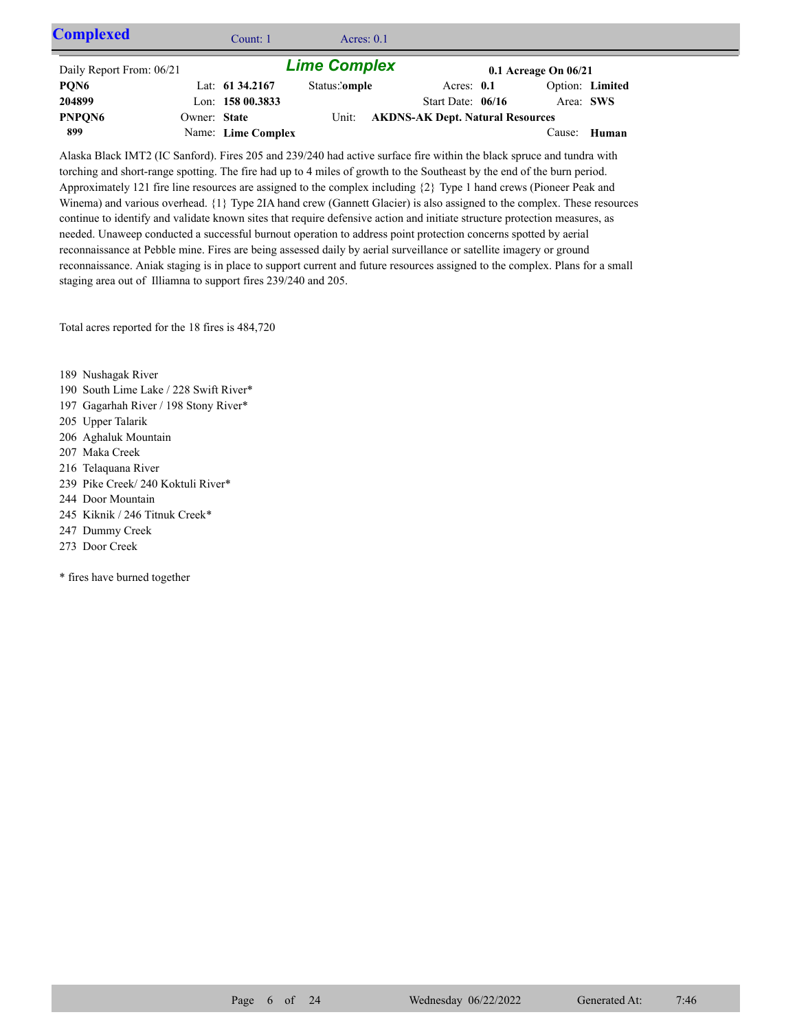| <b>Complexed</b>         |              | Count: $1$         | Acres: $0.1$        |                                         |                          |                 |  |
|--------------------------|--------------|--------------------|---------------------|-----------------------------------------|--------------------------|-----------------|--|
| Daily Report From: 06/21 |              |                    | <b>Lime Complex</b> |                                         | $0.1$ Acreage On $06/21$ |                 |  |
| PQN6                     |              | Lat: $61\,34.2167$ | Status:'omple       | Acres: $0.1$                            |                          | Option: Limited |  |
| 204899                   |              | Lon: $15800.3833$  |                     | Start Date: $06/16$                     | Area: SWS                |                 |  |
| PNPON <sub>6</sub>       | Owner: State |                    | Unit:               | <b>AKDNS-AK Dept. Natural Resources</b> |                          |                 |  |
| 899                      |              | Name: Lime Complex |                     |                                         | Cause:                   | Human           |  |

Alaska Black IMT2 (IC Sanford). Fires 205 and 239/240 had active surface fire within the black spruce and tundra with torching and short-range spotting. The fire had up to 4 miles of growth to the Southeast by the end of the burn period. Approximately 121 fire line resources are assigned to the complex including {2} Type 1 hand crews (Pioneer Peak and Winema) and various overhead.  ${1}$  Type 2IA hand crew (Gannett Glacier) is also assigned to the complex. These resources continue to identify and validate known sites that require defensive action and initiate structure protection measures, as needed. Unaweep conducted a successful burnout operation to address point protection concerns spotted by aerial reconnaissance at Pebble mine. Fires are being assessed daily by aerial surveillance or satellite imagery or ground reconnaissance. Aniak staging is in place to support current and future resources assigned to the complex. Plans for a small staging area out of Illiamna to support fires 239/240 and 205.

Total acres reported for the 18 fires is 484,720

- 189 Nushagak River
- 190 South Lime Lake / 228 Swift River\*
- 197 Gagarhah River / 198 Stony River\*
- 205 Upper Talarik
- 206 Aghaluk Mountain
- 207 Maka Creek
- 216 Telaquana River
- 239 Pike Creek/ 240 Koktuli River\*
- 244 Door Mountain
- 245 Kiknik / 246 Titnuk Creek\*
- 247 Dummy Creek
- 273 Door Creek
- \* fires have burned together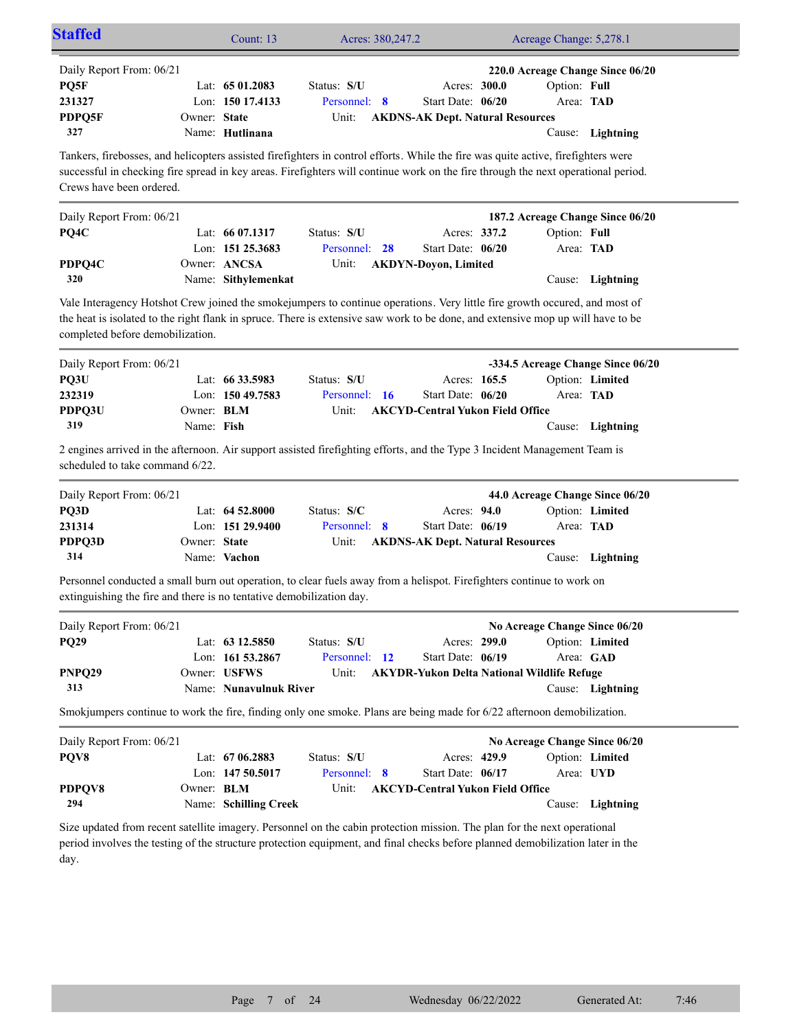| <b>Staffed</b>                                                                                                                                                                                                                                                                                     |                          | Count: 13                                                                  | Acres: 380,247.2                         |                                                                                        | Acreage Change: 5,278.1   |                                                                          |
|----------------------------------------------------------------------------------------------------------------------------------------------------------------------------------------------------------------------------------------------------------------------------------------------------|--------------------------|----------------------------------------------------------------------------|------------------------------------------|----------------------------------------------------------------------------------------|---------------------------|--------------------------------------------------------------------------|
| Daily Report From: 06/21<br>PQ5F<br>231327<br>PDPQ5F<br>327                                                                                                                                                                                                                                        | Owner: State             | Lat: $6501.2083$<br>Lon: 150 17.4133<br>Name: Hutlinana                    | Status: S/U<br>Personnel: 8<br>Unit:     | Acres: 300.0<br>Start Date: 06/20<br><b>AKDNS-AK Dept. Natural Resources</b>           | Option: Full<br>Area: TAD | 220.0 Acreage Change Since 06/20<br>Cause: Lightning                     |
| Tankers, firebosses, and helicopters assisted firefighters in control efforts. While the fire was quite active, firefighters were<br>successful in checking fire spread in key areas. Firefighters will continue work on the fire through the next operational period.<br>Crews have been ordered. |                          |                                                                            |                                          |                                                                                        |                           |                                                                          |
| Daily Report From: 06/21<br>PQ4C<br>PDPQ4C<br>320                                                                                                                                                                                                                                                  |                          | Lat: 66 07.1317<br>Lon: 151 25.3683<br>Owner: ANCSA<br>Name: Sithylemenkat | Status: S/U<br>28<br>Personnel:<br>Unit: | Acres: 337.2<br>Start Date: 06/20<br><b>AKDYN-Doyon, Limited</b>                       | Option: Full<br>Area: TAD | 187.2 Acreage Change Since 06/20<br>Cause: Lightning                     |
| Vale Interagency Hotshot Crew joined the smokejumpers to continue operations. Very little fire growth occured, and most of<br>the heat is isolated to the right flank in spruce. There is extensive saw work to be done, and extensive mop up will have to be<br>completed before demobilization.  |                          |                                                                            |                                          |                                                                                        |                           |                                                                          |
| Daily Report From: 06/21<br>PQ3U<br>232319<br>PDPQ3U<br>319<br>2 engines arrived in the afternoon. Air support assisted firefighting efforts, and the Type 3 Incident Management Team is                                                                                                           | Owner: BLM<br>Name: Fish | Lat: 66 33.5983<br>Lon: 150 49.7583                                        | Status: S/U<br>Personnel: 16<br>Unit:    | Acres: 165.5<br>Start Date: 06/20<br><b>AKCYD-Central Yukon Field Office</b>           | Area: TAD                 | -334.5 Acreage Change Since 06/20<br>Option: Limited<br>Cause: Lightning |
| scheduled to take command 6/22.                                                                                                                                                                                                                                                                    |                          |                                                                            |                                          |                                                                                        |                           |                                                                          |
| Daily Report From: 06/21<br>PQ3D<br>231314<br>PDPQ3D<br>314                                                                                                                                                                                                                                        | Owner: State             | Lat: 64 52.8000<br>Lon: 151 29.9400<br>Name: Vachon                        | Status: S/C<br>Personnel: 8<br>Unit:     | Acres: 94.0<br>Start Date: 06/19<br><b>AKDNS-AK Dept. Natural Resources</b>            | Area: TAD                 | 44.0 Acreage Change Since 06/20<br>Option: Limited<br>Cause: Lightning   |
| Personnel conducted a small burn out operation, to clear fuels away from a helispot. Firefighters continue to work on<br>extinguishing the fire and there is no tentative demobilization day.                                                                                                      |                          |                                                                            |                                          |                                                                                        |                           |                                                                          |
| Daily Report From: 06/21<br><b>PQ29</b><br>PNPQ29                                                                                                                                                                                                                                                  |                          | Lat: 63 12.5850<br>Lon: 161 53.2867<br>Owner: USFWS                        | Status: S/U<br>Personnel: 12<br>Unit:    | Acres: 299.0<br>Start Date: 06/19<br><b>AKYDR-Yukon Delta National Wildlife Refuge</b> |                           | No Acreage Change Since 06/20<br>Option: Limited<br>Area: GAD            |
| 313<br>Smokjumpers continue to work the fire, finding only one smoke. Plans are being made for 6/22 afternoon demobilization.                                                                                                                                                                      |                          | Name: Nunavulnuk River                                                     |                                          |                                                                                        |                           | Cause: Lightning                                                         |
| Daily Report From: 06/21<br>PQV8<br>PDPQV8                                                                                                                                                                                                                                                         | Owner: BLM               | Lat: 67 06.2883<br>Lon: 147 50.5017                                        | Status: S/U<br>Personnel: 8<br>Unit:     | Acres: 429.9<br>Start Date: 06/17<br><b>AKCYD-Central Yukon Field Office</b>           | Area: UYD                 | No Acreage Change Since 06/20<br>Option: Limited                         |
| 294<br>Size updated from recent satellite imagery. Personnel on the cabin protection mission. The plan for the next operational<br>period involves the testing of the structure protection equipment, and final checks before planned demobilization later in the<br>day.                          |                          | Name: Schilling Creek                                                      |                                          |                                                                                        |                           | Cause: Lightning                                                         |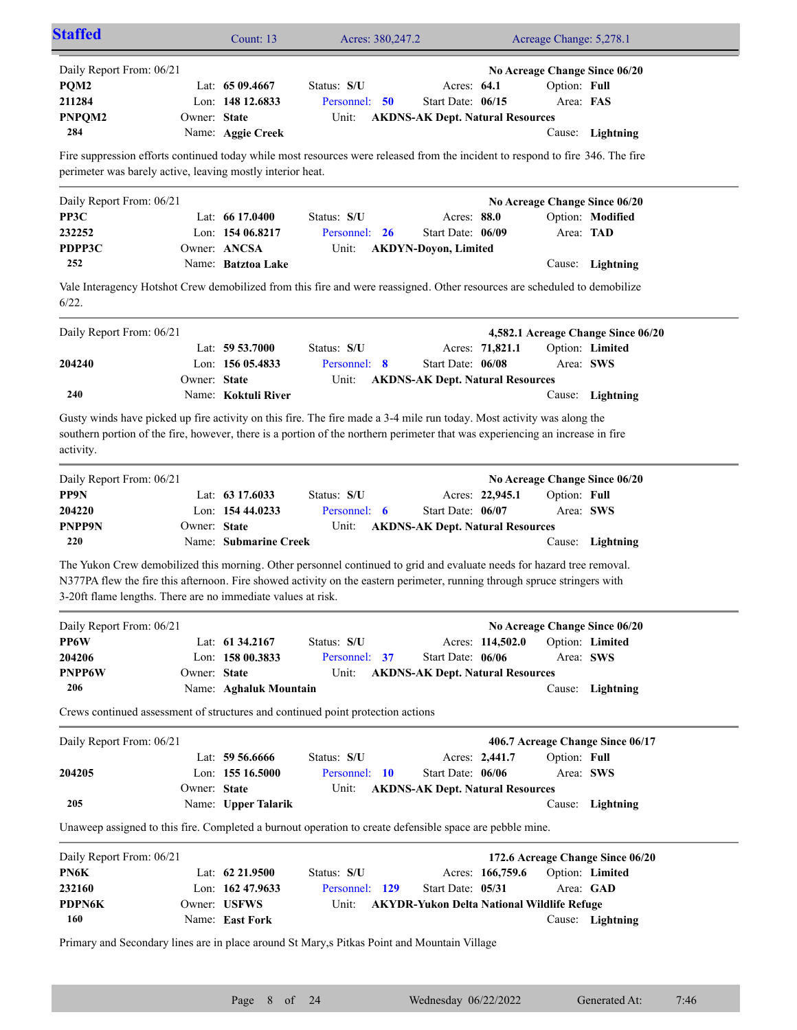|                                                                                          |              | Count: 13                       | Acres: 380,247.2                                                                                                                                                                                                                                        |                                                   |                  | Acreage Change: 5,278.1 |                                    |
|------------------------------------------------------------------------------------------|--------------|---------------------------------|---------------------------------------------------------------------------------------------------------------------------------------------------------------------------------------------------------------------------------------------------------|---------------------------------------------------|------------------|-------------------------|------------------------------------|
| Daily Report From: 06/21                                                                 |              |                                 |                                                                                                                                                                                                                                                         |                                                   |                  |                         | No Acreage Change Since 06/20      |
| PQM2                                                                                     |              | Lat: $6509.4667$                | Status: S/U                                                                                                                                                                                                                                             | Acres: 64.1                                       |                  | Option: Full            |                                    |
| 211284                                                                                   |              | Lon: 148 12.6833                | Personnel: 50                                                                                                                                                                                                                                           | Start Date: 06/15                                 |                  | Area: FAS               |                                    |
| PNPQM2                                                                                   | Owner: State |                                 | Unit:                                                                                                                                                                                                                                                   | <b>AKDNS-AK Dept. Natural Resources</b>           |                  |                         |                                    |
| 284                                                                                      |              | Name: Aggie Creek               |                                                                                                                                                                                                                                                         |                                                   |                  |                         | Cause: Lightning                   |
| perimeter was barely active, leaving mostly interior heat.                               |              |                                 | Fire suppression efforts continued today while most resources were released from the incident to respond to fire 346. The fire                                                                                                                          |                                                   |                  |                         |                                    |
| Daily Report From: 06/21                                                                 |              |                                 |                                                                                                                                                                                                                                                         |                                                   |                  |                         | No Acreage Change Since 06/20      |
| PP3C                                                                                     |              | Lat: $6617.0400$                | Status: S/U                                                                                                                                                                                                                                             | Acres: 88.0                                       |                  |                         | Option: Modified                   |
| 232252                                                                                   |              | Lon: $15406.8217$               | Personnel:<br>- 26                                                                                                                                                                                                                                      | Start Date: 06/09                                 |                  | Area: TAD               |                                    |
| PDPP3C                                                                                   |              | Owner: ANCSA                    | Unit:                                                                                                                                                                                                                                                   | <b>AKDYN-Doyon, Limited</b>                       |                  |                         |                                    |
| 252                                                                                      |              | Name: Batztoa Lake              |                                                                                                                                                                                                                                                         |                                                   |                  |                         | Cause: Lightning                   |
|                                                                                          |              |                                 | Vale Interagency Hotshot Crew demobilized from this fire and were reassigned. Other resources are scheduled to demobilize                                                                                                                               |                                                   |                  |                         |                                    |
| 6/22.                                                                                    |              |                                 |                                                                                                                                                                                                                                                         |                                                   |                  |                         |                                    |
| Daily Report From: 06/21                                                                 |              |                                 |                                                                                                                                                                                                                                                         |                                                   |                  |                         | 4,582.1 Acreage Change Since 06/20 |
|                                                                                          |              | Lat: $59\,53.7000$              | Status: S/U                                                                                                                                                                                                                                             |                                                   | Acres: 71,821.1  |                         | Option: Limited                    |
| 204240                                                                                   |              | Lon: 156 05.4833                | Personnel: 8                                                                                                                                                                                                                                            | Start Date: 06/08                                 |                  | Area: SWS               |                                    |
|                                                                                          | Owner: State |                                 | Unit:                                                                                                                                                                                                                                                   | <b>AKDNS-AK Dept. Natural Resources</b>           |                  |                         |                                    |
| 240                                                                                      |              | Name: Koktuli River             |                                                                                                                                                                                                                                                         |                                                   |                  |                         | Cause: Lightning                   |
|                                                                                          |              |                                 |                                                                                                                                                                                                                                                         |                                                   |                  |                         |                                    |
| activity.                                                                                |              |                                 | Gusty winds have picked up fire activity on this fire. The fire made a 3-4 mile run today. Most activity was along the<br>southern portion of the fire, however, there is a portion of the northern perimeter that was experiencing an increase in fire |                                                   |                  |                         |                                    |
|                                                                                          |              |                                 |                                                                                                                                                                                                                                                         |                                                   |                  |                         |                                    |
|                                                                                          |              |                                 |                                                                                                                                                                                                                                                         |                                                   |                  |                         | No Acreage Change Since 06/20      |
|                                                                                          |              | Lat: $63\,17.6033$              | Status: S/U                                                                                                                                                                                                                                             |                                                   | Acres: 22,945.1  | Option: Full            |                                    |
|                                                                                          |              | Lon: 154 44.0233                | Personnel: 6                                                                                                                                                                                                                                            | Start Date: 06/07                                 |                  | Area: SWS               |                                    |
|                                                                                          | Owner: State |                                 | Unit:                                                                                                                                                                                                                                                   | <b>AKDNS-AK Dept. Natural Resources</b>           |                  |                         |                                    |
| Daily Report From: 06/21<br>PP9N<br>204220<br>PNPP9N<br>220                              |              | Name: Submarine Creek           |                                                                                                                                                                                                                                                         |                                                   |                  |                         | Cause: Lightning                   |
|                                                                                          |              |                                 | The Yukon Crew demobilized this morning. Other personnel continued to grid and evaluate needs for hazard tree removal.                                                                                                                                  |                                                   |                  |                         |                                    |
|                                                                                          |              |                                 | N377PA flew the fire this afternoon. Fire showed activity on the eastern perimeter, running through spruce stringers with                                                                                                                               |                                                   |                  |                         |                                    |
|                                                                                          |              |                                 |                                                                                                                                                                                                                                                         |                                                   |                  |                         |                                    |
| 3-20ft flame lengths. There are no immediate values at risk.<br>Daily Report From: 06/21 |              |                                 |                                                                                                                                                                                                                                                         |                                                   |                  |                         | No Acreage Change Since 06/20      |
|                                                                                          |              | Lat: 61 34.2167                 | Status: S/U                                                                                                                                                                                                                                             |                                                   | Acres: 114,502.0 |                         | Option: Limited                    |
|                                                                                          |              | Lon: 158 00.3833                | Personnel: 37                                                                                                                                                                                                                                           | Start Date: 06/06                                 |                  | Area: SWS               |                                    |
|                                                                                          | Owner: State |                                 | Unit:                                                                                                                                                                                                                                                   | <b>AKDNS-AK Dept. Natural Resources</b>           |                  |                         |                                    |
| 206                                                                                      |              | Name: Aghaluk Mountain          |                                                                                                                                                                                                                                                         |                                                   |                  |                         | Cause: Lightning                   |
| PP6W<br>204206<br><b>PNPP6W</b>                                                          |              |                                 | Crews continued assessment of structures and continued point protection actions                                                                                                                                                                         |                                                   |                  |                         |                                    |
|                                                                                          |              |                                 |                                                                                                                                                                                                                                                         |                                                   |                  |                         |                                    |
| Daily Report From: 06/21                                                                 |              | Lat: 59 56.6666                 | Status: S/U                                                                                                                                                                                                                                             | Acres: 2,441.7                                    |                  | Option: Full            | 406.7 Acreage Change Since 06/17   |
|                                                                                          |              | Lon: $15516.5000$               | Personnel: 10                                                                                                                                                                                                                                           | Start Date: 06/06                                 |                  | Area: SWS               |                                    |
|                                                                                          | Owner: State |                                 | Unit:                                                                                                                                                                                                                                                   |                                                   |                  |                         |                                    |
| 204205<br>205                                                                            |              | Name: Upper Talarik             |                                                                                                                                                                                                                                                         | <b>AKDNS-AK Dept. Natural Resources</b>           |                  |                         | Cause: Lightning                   |
|                                                                                          |              |                                 | Unaweep assigned to this fire. Completed a burnout operation to create defensible space are pebble mine.                                                                                                                                                |                                                   |                  |                         |                                    |
|                                                                                          |              |                                 |                                                                                                                                                                                                                                                         |                                                   |                  |                         |                                    |
| Daily Report From: 06/21                                                                 |              |                                 |                                                                                                                                                                                                                                                         |                                                   |                  |                         | 172.6 Acreage Change Since 06/20   |
| PN6K                                                                                     |              | Lat: $62\,21.9500$              | Status: S/U                                                                                                                                                                                                                                             |                                                   | Acres: 166,759.6 |                         | Option: Limited                    |
| 232160                                                                                   |              | Lon: 162 47.9633                | Personnel: 129                                                                                                                                                                                                                                          | Start Date: 05/31                                 |                  | Area: GAD               |                                    |
| PDPN6K<br>160                                                                            |              | Owner: USFWS<br>Name: East Fork | Unit:                                                                                                                                                                                                                                                   | <b>AKYDR-Yukon Delta National Wildlife Refuge</b> |                  |                         | Cause: Lightning                   |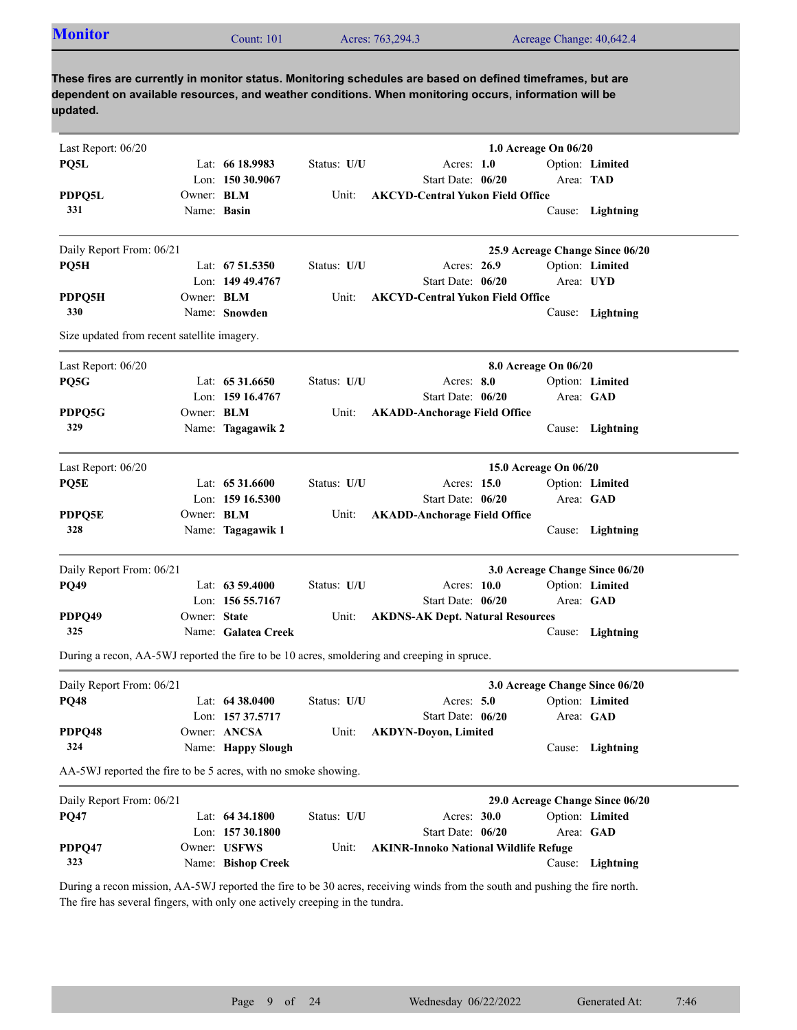| <b>Monitor</b>                                                 |                   | Count: $101$        |             | Acres: 763,294.3                                                                                                                                                                                                    | Acreage Change: 40,642.4        |                  |
|----------------------------------------------------------------|-------------------|---------------------|-------------|---------------------------------------------------------------------------------------------------------------------------------------------------------------------------------------------------------------------|---------------------------------|------------------|
| updated.                                                       |                   |                     |             | These fires are currently in monitor status. Monitoring schedules are based on defined timeframes, but are<br>dependent on available resources, and weather conditions. When monitoring occurs, information will be |                                 |                  |
| Last Report: 06/20                                             |                   |                     |             |                                                                                                                                                                                                                     | 1.0 Acreage On 06/20            |                  |
| PQ5L                                                           |                   | Lat: $6618.9983$    | Status: U/U | Acres: $1.0$                                                                                                                                                                                                        |                                 | Option: Limited  |
|                                                                |                   | Lon: $15030.9067$   |             | Start Date: 06/20                                                                                                                                                                                                   | Area: TAD                       |                  |
| PDPQ5L                                                         | Owner: <b>BLM</b> |                     | Unit:       | <b>AKCYD-Central Yukon Field Office</b>                                                                                                                                                                             |                                 |                  |
| 331                                                            | Name: Basin       |                     |             |                                                                                                                                                                                                                     | Cause:                          | Lightning        |
| Daily Report From: 06/21                                       |                   |                     |             |                                                                                                                                                                                                                     | 25.9 Acreage Change Since 06/20 |                  |
| PQ5H                                                           |                   | Lat: 67 51.5350     | Status: U/U | Acres: 26.9                                                                                                                                                                                                         |                                 | Option: Limited  |
|                                                                |                   | Lon: 149 49.4767    |             | Start Date: 06/20                                                                                                                                                                                                   |                                 | Area: UYD        |
| PDPQ5H                                                         | Owner: <b>BLM</b> |                     | Unit:       | <b>AKCYD-Central Yukon Field Office</b>                                                                                                                                                                             |                                 |                  |
| 330                                                            |                   | Name: Snowden       |             |                                                                                                                                                                                                                     |                                 | Cause: Lightning |
| Size updated from recent satellite imagery.                    |                   |                     |             |                                                                                                                                                                                                                     |                                 |                  |
| Last Report: 06/20                                             |                   |                     |             |                                                                                                                                                                                                                     | 8.0 Acreage On 06/20            |                  |
| PQ5G                                                           |                   | Lat: $6531.6650$    | Status: U/U | Acres: 8.0                                                                                                                                                                                                          |                                 | Option: Limited  |
|                                                                |                   | Lon: 159 16.4767    |             | Start Date: 06/20                                                                                                                                                                                                   |                                 | Area: GAD        |
| PDPQ5G                                                         | Owner: BLM        |                     | Unit:       | <b>AKADD-Anchorage Field Office</b>                                                                                                                                                                                 |                                 |                  |
| 329                                                            |                   | Name: Tagagawik 2   |             |                                                                                                                                                                                                                     |                                 | Cause: Lightning |
| Last Report: 06/20                                             |                   |                     |             |                                                                                                                                                                                                                     | 15.0 Acreage On 06/20           |                  |
| PQ5E                                                           |                   | Lat: $6531.6600$    | Status: U/U | Acres: 15.0                                                                                                                                                                                                         |                                 | Option: Limited  |
|                                                                |                   | Lon: $15916.5300$   |             | Start Date: 06/20                                                                                                                                                                                                   |                                 | Area: GAD        |
| PDPQ5E                                                         | Owner: BLM        |                     | Unit:       | <b>AKADD-Anchorage Field Office</b>                                                                                                                                                                                 |                                 |                  |
| 328                                                            |                   | Name: Tagagawik 1   |             |                                                                                                                                                                                                                     |                                 | Cause: Lightning |
| Daily Report From: 06/21                                       |                   |                     |             |                                                                                                                                                                                                                     | 3.0 Acreage Change Since 06/20  |                  |
| <b>PQ49</b>                                                    |                   | Lat: $6359.4000$    | Status: U/U | Acres: 10.0                                                                                                                                                                                                         |                                 | Option: Limited  |
|                                                                |                   | Lon: 156 55.7167    |             | Start Date: 06/20                                                                                                                                                                                                   |                                 | Area: GAD        |
| PDPQ49                                                         | Owner: State      |                     | Unit:       | <b>AKDNS-AK Dept. Natural Resources</b>                                                                                                                                                                             |                                 |                  |
| 325                                                            |                   | Name: Galatea Creek |             |                                                                                                                                                                                                                     |                                 | Cause: Lightning |
|                                                                |                   |                     |             | During a recon, AA-5WJ reported the fire to be 10 acres, smoldering and creeping in spruce.                                                                                                                         |                                 |                  |
| Daily Report From: 06/21                                       |                   |                     |             |                                                                                                                                                                                                                     | 3.0 Acreage Change Since 06/20  |                  |
| <b>PQ48</b>                                                    |                   | Lat: 64 38.0400     | Status: U/U | Acres: 5.0                                                                                                                                                                                                          |                                 | Option: Limited  |
|                                                                |                   | Lon: 157 37.5717    |             | Start Date: 06/20                                                                                                                                                                                                   | Area: GAD                       |                  |
| PDPQ48                                                         |                   | Owner: ANCSA        | Unit:       | <b>AKDYN-Doyon, Limited</b>                                                                                                                                                                                         |                                 |                  |
| 324                                                            |                   | Name: Happy Slough  |             |                                                                                                                                                                                                                     |                                 | Cause: Lightning |
| AA-5WJ reported the fire to be 5 acres, with no smoke showing. |                   |                     |             |                                                                                                                                                                                                                     |                                 |                  |
| Daily Report From: 06/21                                       |                   |                     |             |                                                                                                                                                                                                                     | 29.0 Acreage Change Since 06/20 |                  |
| <b>PQ47</b>                                                    |                   | Lat: $64\,34.1800$  | Status: U/U | Acres: 30.0                                                                                                                                                                                                         |                                 | Option: Limited  |
|                                                                |                   | Lon: 157 30.1800    |             | Start Date: 06/20                                                                                                                                                                                                   | Area: GAD                       |                  |
| PDPQ47<br>323                                                  |                   | Owner: USFWS        | Unit:       | <b>AKINR-Innoko National Wildlife Refuge</b>                                                                                                                                                                        |                                 |                  |
|                                                                |                   | Name: Bishop Creek  |             |                                                                                                                                                                                                                     |                                 | Cause: Lightning |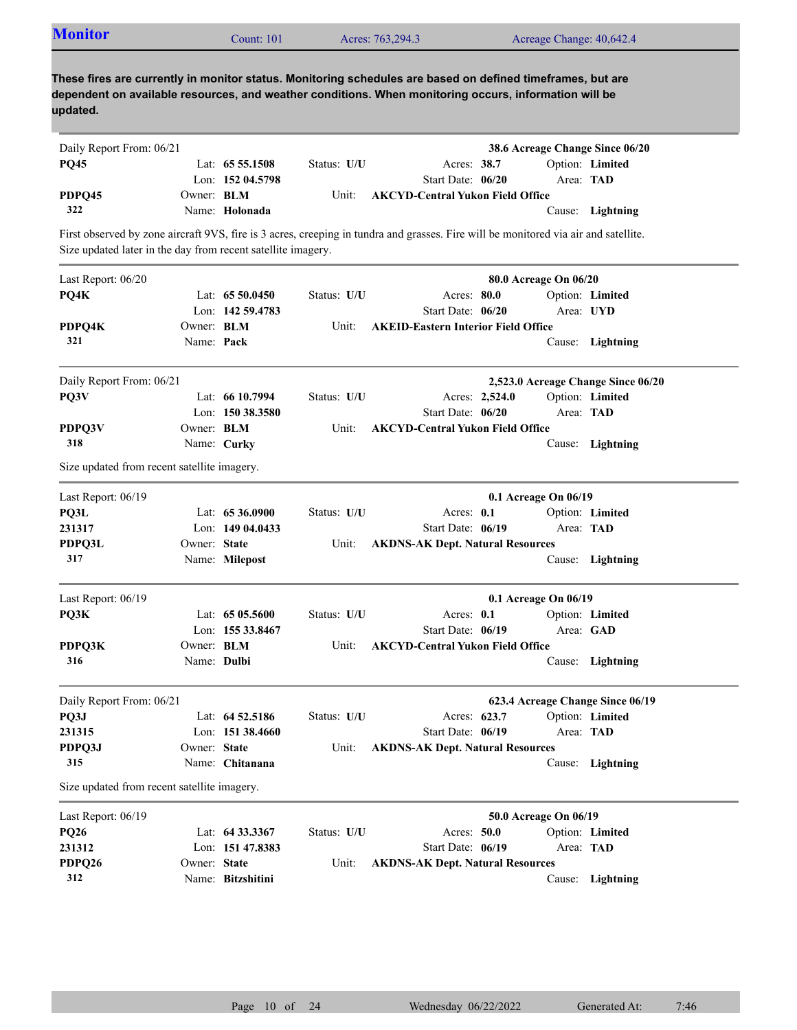| <b>Monitor</b>                                               |                   | Count: 101         |             | Acres: 763,294.3                                                                                                                                                                                                    |                | Acreage Change: 40,642.4 |                                    |
|--------------------------------------------------------------|-------------------|--------------------|-------------|---------------------------------------------------------------------------------------------------------------------------------------------------------------------------------------------------------------------|----------------|--------------------------|------------------------------------|
| updated.                                                     |                   |                    |             | These fires are currently in monitor status. Monitoring schedules are based on defined timeframes, but are<br>dependent on available resources, and weather conditions. When monitoring occurs, information will be |                |                          |                                    |
| Daily Report From: 06/21                                     |                   |                    |             |                                                                                                                                                                                                                     |                |                          | 38.6 Acreage Change Since 06/20    |
| <b>PQ45</b>                                                  |                   | Lat: $655.1508$    | Status: U/U | Acres: 38.7                                                                                                                                                                                                         |                |                          | Option: Limited                    |
|                                                              |                   | Lon: 152 04.5798   |             | Start Date: 06/20                                                                                                                                                                                                   |                | Area: TAD                |                                    |
| PDPQ45                                                       | Owner: BLM        |                    | Unit:       | <b>AKCYD-Central Yukon Field Office</b>                                                                                                                                                                             |                |                          |                                    |
| 322                                                          |                   | Name: Holonada     |             |                                                                                                                                                                                                                     |                |                          | Cause: Lightning                   |
| Size updated later in the day from recent satellite imagery. |                   |                    |             | First observed by zone aircraft 9VS, fire is 3 acres, creeping in tundra and grasses. Fire will be monitored via air and satellite.                                                                                 |                |                          |                                    |
| Last Report: 06/20                                           |                   |                    |             |                                                                                                                                                                                                                     |                | 80.0 Acreage On 06/20    |                                    |
| PQ4K                                                         |                   | Lat: 65 50.0450    | Status: U/U | Acres: 80.0                                                                                                                                                                                                         |                |                          | Option: Limited                    |
|                                                              |                   | Lon: 142 59.4783   |             | Start Date: 06/20                                                                                                                                                                                                   |                |                          | Area: UYD                          |
| PDPQ4K                                                       | Owner: BLM        |                    | Unit:       | <b>AKEID-Eastern Interior Field Office</b>                                                                                                                                                                          |                |                          |                                    |
| 321                                                          | Name: Pack        |                    |             |                                                                                                                                                                                                                     |                |                          | Cause: Lightning                   |
| Daily Report From: 06/21                                     |                   |                    |             |                                                                                                                                                                                                                     |                |                          | 2,523.0 Acreage Change Since 06/20 |
| PQ3V                                                         |                   | Lat: 66 10.7994    | Status: U/U |                                                                                                                                                                                                                     | Acres: 2,524.0 |                          | Option: Limited                    |
|                                                              |                   | Lon: 150 38.3580   |             | Start Date: 06/20                                                                                                                                                                                                   |                | Area: TAD                |                                    |
| PDPQ3V                                                       | Owner: <b>BLM</b> |                    | Unit:       | <b>AKCYD-Central Yukon Field Office</b>                                                                                                                                                                             |                |                          |                                    |
| 318                                                          |                   | Name: Curky        |             |                                                                                                                                                                                                                     |                |                          | Cause: Lightning                   |
| Size updated from recent satellite imagery.                  |                   |                    |             |                                                                                                                                                                                                                     |                |                          |                                    |
| Last Report: 06/19                                           |                   |                    |             |                                                                                                                                                                                                                     |                | 0.1 Acreage On 06/19     |                                    |
| PQ3L                                                         |                   | Lat: 65 36.0900    | Status: U/U | Acres: $0.1$                                                                                                                                                                                                        |                |                          | Option: Limited                    |
| 231317                                                       |                   | Lon: 149 04.0433   |             | Start Date: 06/19                                                                                                                                                                                                   |                | Area: TAD                |                                    |
| PDPQ3L                                                       | Owner: State      |                    | Unit:       | <b>AKDNS-AK Dept. Natural Resources</b>                                                                                                                                                                             |                |                          |                                    |
| 317                                                          |                   | Name: Milepost     |             |                                                                                                                                                                                                                     |                |                          | Cause: Lightning                   |
| Last Report: $06/19$                                         |                   |                    |             |                                                                                                                                                                                                                     |                | 0.1 Acreage On 06/19     |                                    |
| PQ3K                                                         |                   | Lat: 65 05.5600    | Status: U/U | Acres: 0.1                                                                                                                                                                                                          |                |                          | Option: Limited                    |
|                                                              |                   | Lon: 155 33.8467   |             | Start Date: 06/19                                                                                                                                                                                                   |                |                          | Area: GAD                          |
| PDPQ3K                                                       | Owner: <b>BLM</b> |                    | Unit:       | <b>AKCYD-Central Yukon Field Office</b>                                                                                                                                                                             |                |                          |                                    |
| 316                                                          | Name: Dulbi       |                    |             |                                                                                                                                                                                                                     |                |                          | Cause: Lightning                   |
| Daily Report From: 06/21                                     |                   |                    |             |                                                                                                                                                                                                                     |                |                          | 623.4 Acreage Change Since 06/19   |
| PQ3J                                                         |                   | Lat: $64\,52.5186$ | Status: U/U |                                                                                                                                                                                                                     | Acres: 623.7   |                          | Option: Limited                    |
| 231315                                                       |                   | Lon: 151 38.4660   |             | Start Date: 06/19                                                                                                                                                                                                   |                | Area: TAD                |                                    |
| PDPQ3J                                                       | Owner: State      |                    | Unit:       | <b>AKDNS-AK Dept. Natural Resources</b>                                                                                                                                                                             |                |                          |                                    |
| 315                                                          |                   | Name: Chitanana    |             |                                                                                                                                                                                                                     |                |                          | Cause: Lightning                   |
| Size updated from recent satellite imagery.                  |                   |                    |             |                                                                                                                                                                                                                     |                |                          |                                    |
| Last Report: 06/19                                           |                   |                    |             |                                                                                                                                                                                                                     |                | 50.0 Acreage On 06/19    |                                    |
| <b>PQ26</b>                                                  |                   | Lat: 64 33.3367    | Status: U/U | Acres: 50.0                                                                                                                                                                                                         |                |                          | Option: Limited                    |
| 231312                                                       |                   | Lon: 151 47.8383   |             | Start Date: 06/19                                                                                                                                                                                                   |                | Area: TAD                |                                    |
| PDPQ26                                                       | Owner: State      |                    | Unit:       | <b>AKDNS-AK Dept. Natural Resources</b>                                                                                                                                                                             |                |                          |                                    |
| 312                                                          |                   | Name: Bitzshitini  |             |                                                                                                                                                                                                                     |                |                          | Cause: Lightning                   |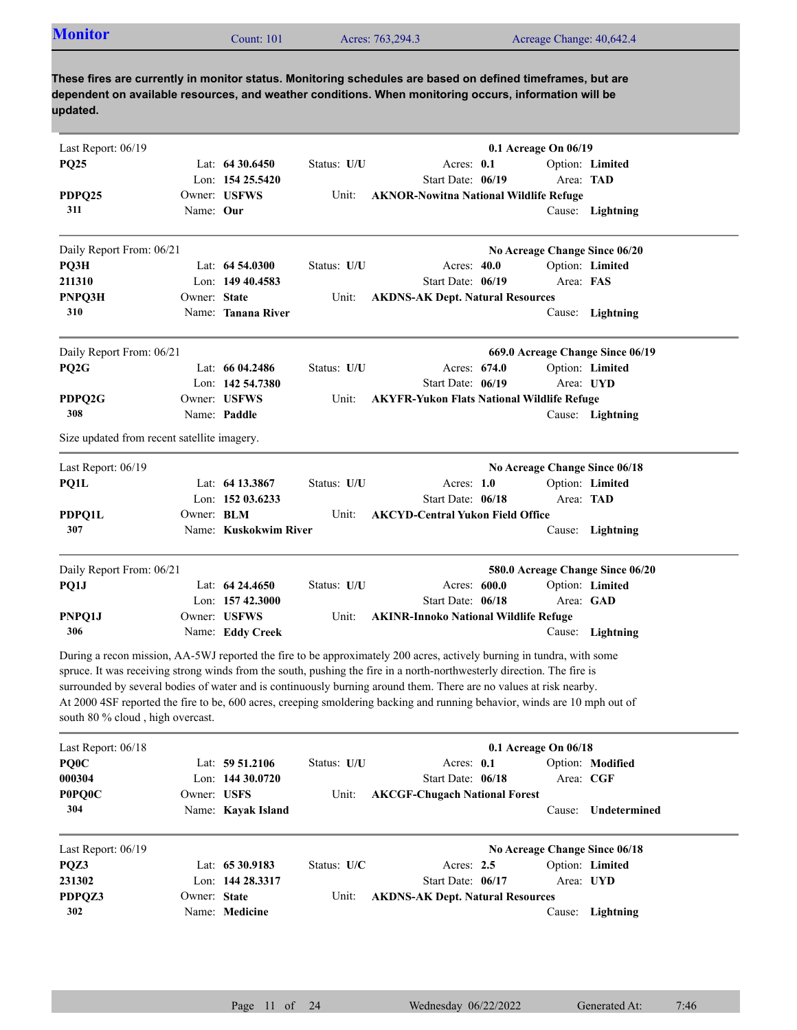| <b>Monitor</b>                              |              | Count: 101            |             | Acres: 763,294.3                                                                                                                                                                                                                                                                                                                                                                                                                                                                                   |                      |           | Acreage Change: 40,642.4         |
|---------------------------------------------|--------------|-----------------------|-------------|----------------------------------------------------------------------------------------------------------------------------------------------------------------------------------------------------------------------------------------------------------------------------------------------------------------------------------------------------------------------------------------------------------------------------------------------------------------------------------------------------|----------------------|-----------|----------------------------------|
| updated.                                    |              |                       |             | These fires are currently in monitor status. Monitoring schedules are based on defined timeframes, but are<br>dependent on available resources, and weather conditions. When monitoring occurs, information will be                                                                                                                                                                                                                                                                                |                      |           |                                  |
| Last Report: 06/19                          |              |                       |             |                                                                                                                                                                                                                                                                                                                                                                                                                                                                                                    | 0.1 Acreage On 06/19 |           |                                  |
| <b>PQ25</b>                                 |              | Lat: $64\,30.6450$    | Status: U/U | Acres: 0.1                                                                                                                                                                                                                                                                                                                                                                                                                                                                                         |                      |           | Option: Limited                  |
|                                             |              | Lon: $15425.5420$     |             | Start Date: 06/19                                                                                                                                                                                                                                                                                                                                                                                                                                                                                  |                      |           | Area: TAD                        |
| PDPQ25                                      |              | Owner: USFWS          | Unit:       | <b>AKNOR-Nowitna National Wildlife Refuge</b>                                                                                                                                                                                                                                                                                                                                                                                                                                                      |                      |           |                                  |
| 311                                         | Name: Our    |                       |             |                                                                                                                                                                                                                                                                                                                                                                                                                                                                                                    |                      |           | Cause: Lightning                 |
| Daily Report From: 06/21                    |              |                       |             |                                                                                                                                                                                                                                                                                                                                                                                                                                                                                                    |                      |           | No Acreage Change Since 06/20    |
| PQ3H                                        |              | Lat: $64,54,0300$     | Status: U/U | Acres: $40.0$                                                                                                                                                                                                                                                                                                                                                                                                                                                                                      |                      |           | Option: Limited                  |
| 211310                                      |              | Lon: 149 40.4583      |             | Start Date: 06/19                                                                                                                                                                                                                                                                                                                                                                                                                                                                                  |                      | Area: FAS |                                  |
| PNPQ3H                                      | Owner: State |                       | Unit:       | <b>AKDNS-AK Dept. Natural Resources</b>                                                                                                                                                                                                                                                                                                                                                                                                                                                            |                      |           |                                  |
| 310                                         |              | Name: Tanana River    |             |                                                                                                                                                                                                                                                                                                                                                                                                                                                                                                    |                      |           | Cause: Lightning                 |
| Daily Report From: 06/21                    |              |                       |             |                                                                                                                                                                                                                                                                                                                                                                                                                                                                                                    |                      |           | 669.0 Acreage Change Since 06/19 |
| PQ <sub>2G</sub>                            |              | Lat: $6604.2486$      | Status: U/U | Acres: 674.0                                                                                                                                                                                                                                                                                                                                                                                                                                                                                       |                      |           | Option: Limited                  |
|                                             |              | Lon: 142 54.7380      |             | Start Date: 06/19                                                                                                                                                                                                                                                                                                                                                                                                                                                                                  |                      |           | Area: UYD                        |
| PDPQ2G                                      |              | Owner: USFWS          | Unit:       | <b>AKYFR-Yukon Flats National Wildlife Refuge</b>                                                                                                                                                                                                                                                                                                                                                                                                                                                  |                      |           |                                  |
| 308                                         |              | Name: Paddle          |             |                                                                                                                                                                                                                                                                                                                                                                                                                                                                                                    |                      |           | Cause: Lightning                 |
| Size updated from recent satellite imagery. |              |                       |             |                                                                                                                                                                                                                                                                                                                                                                                                                                                                                                    |                      |           |                                  |
| Last Report: 06/19                          |              |                       |             |                                                                                                                                                                                                                                                                                                                                                                                                                                                                                                    |                      |           | No Acreage Change Since 06/18    |
| PQ1L                                        |              | Lat: 64 13.3867       | Status: U/U | Acres: $1.0$                                                                                                                                                                                                                                                                                                                                                                                                                                                                                       |                      |           | Option: Limited                  |
|                                             |              | Lon: $15203.6233$     |             | Start Date: 06/18                                                                                                                                                                                                                                                                                                                                                                                                                                                                                  |                      |           | Area: TAD                        |
| PDPQ1L                                      | Owner: BLM   |                       | Unit:       | <b>AKCYD-Central Yukon Field Office</b>                                                                                                                                                                                                                                                                                                                                                                                                                                                            |                      |           |                                  |
| 307                                         |              | Name: Kuskokwim River |             |                                                                                                                                                                                                                                                                                                                                                                                                                                                                                                    |                      |           | Cause: Lightning                 |
| Daily Report From: 06/21                    |              |                       |             |                                                                                                                                                                                                                                                                                                                                                                                                                                                                                                    |                      |           | 580.0 Acreage Change Since 06/20 |
| PQ1J                                        |              | Lat: $64\,24.4650$    | Status: U/U | Acres: <b>600.0</b>                                                                                                                                                                                                                                                                                                                                                                                                                                                                                |                      |           | Option: Limited                  |
|                                             |              | Lon: 157 42.3000      |             | Start Date: 06/18                                                                                                                                                                                                                                                                                                                                                                                                                                                                                  |                      |           | Area: GAD                        |
| PNPQ1J                                      |              | Owner: USFWS          | Unit:       | <b>AKINR-Innoko National Wildlife Refuge</b>                                                                                                                                                                                                                                                                                                                                                                                                                                                       |                      |           |                                  |
| 306                                         |              | Name: Eddy Creek      |             |                                                                                                                                                                                                                                                                                                                                                                                                                                                                                                    |                      |           | Cause: Lightning                 |
| south 80 % cloud, high overcast.            |              |                       |             | During a recon mission, AA-5WJ reported the fire to be approximately 200 acres, actively burning in tundra, with some<br>spruce. It was receiving strong winds from the south, pushing the fire in a north-northwesterly direction. The fire is<br>surrounded by several bodies of water and is continuously burning around them. There are no values at risk nearby.<br>At 2000 4SF reported the fire to be, 600 acres, creeping smoldering backing and running behavior, winds are 10 mph out of |                      |           |                                  |
| Last Report: 06/18                          |              |                       |             |                                                                                                                                                                                                                                                                                                                                                                                                                                                                                                    | 0.1 Acreage On 06/18 |           |                                  |
| PQ0C                                        |              | Lat: 59 51.2106       | Status: U/U | Acres: 0.1                                                                                                                                                                                                                                                                                                                                                                                                                                                                                         |                      |           | Option: Modified                 |
| 000304                                      |              | Lon: $14430.0720$     |             | Start Date: 06/18                                                                                                                                                                                                                                                                                                                                                                                                                                                                                  |                      |           | Area: CGF                        |
| <b>POPQOC</b>                               | Owner: USFS  |                       | Unit:       | <b>AKCGF-Chugach National Forest</b>                                                                                                                                                                                                                                                                                                                                                                                                                                                               |                      |           |                                  |
| 304                                         |              | Name: Kayak Island    |             |                                                                                                                                                                                                                                                                                                                                                                                                                                                                                                    |                      | Cause:    | Undetermined                     |
| Last Report: 06/19                          |              |                       |             |                                                                                                                                                                                                                                                                                                                                                                                                                                                                                                    |                      |           | No Acreage Change Since 06/18    |
|                                             |              | Lat: 65 30.9183       | Status: U/C | Acres: $2.5$                                                                                                                                                                                                                                                                                                                                                                                                                                                                                       |                      |           | Option: Limited                  |
| PQZ3                                        |              |                       |             |                                                                                                                                                                                                                                                                                                                                                                                                                                                                                                    |                      |           |                                  |
| 231302                                      |              | Lon: 144 28.3317      |             | Start Date: 06/17                                                                                                                                                                                                                                                                                                                                                                                                                                                                                  |                      |           | Area: UYD                        |
| PDPQZ3                                      | Owner: State |                       | Unit:       | <b>AKDNS-AK Dept. Natural Resources</b>                                                                                                                                                                                                                                                                                                                                                                                                                                                            |                      |           |                                  |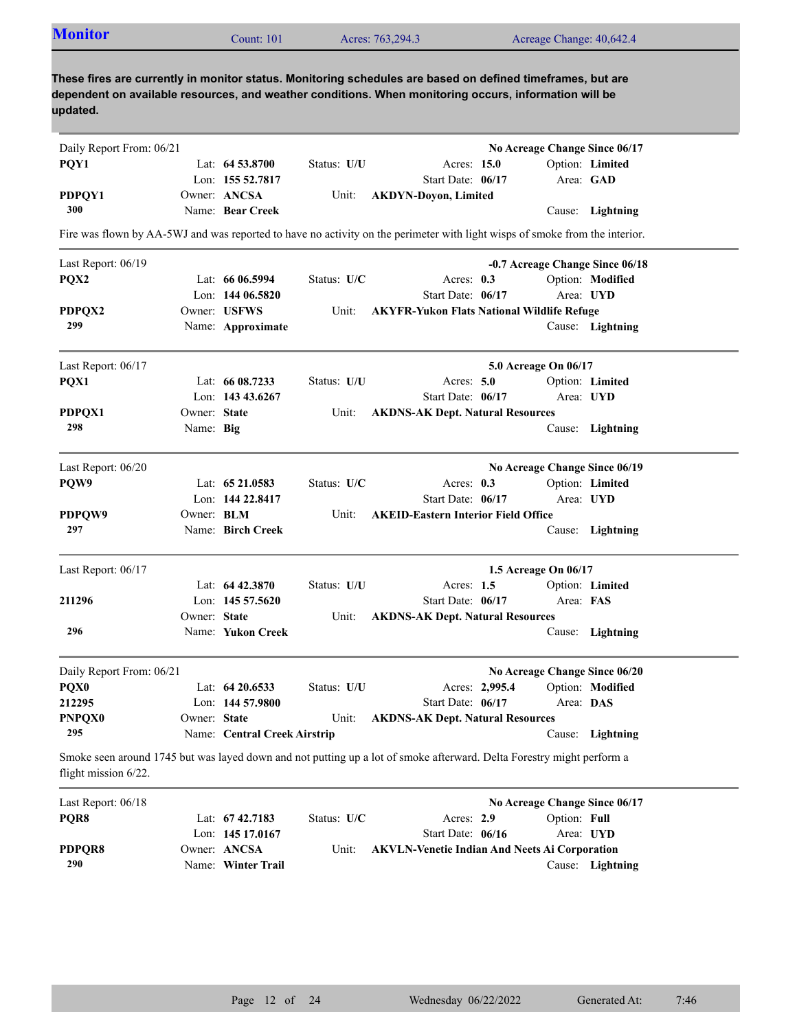| <b>Monitor</b> | Count: $101$ | Acres: 763,294.3 | Acreage Change: 40,642.4                                                                                                                                                                                            |  |
|----------------|--------------|------------------|---------------------------------------------------------------------------------------------------------------------------------------------------------------------------------------------------------------------|--|
|                |              |                  | These fires are currently in monitor status. Monitoring schedules are based on defined timeframes, but are<br>dependent on available resources, and weather conditions. When monitoring occurs, information will be |  |

## **updated.**

| Daily Report From: 06/21 |                   |                              |             |                                                                                                                             |                | No Acreage Change Since 06/17 |                                 |
|--------------------------|-------------------|------------------------------|-------------|-----------------------------------------------------------------------------------------------------------------------------|----------------|-------------------------------|---------------------------------|
| PQY1                     |                   | Lat: $64\,53.8700$           | Status: U/U | Acres: 15.0                                                                                                                 |                |                               | Option: Limited                 |
|                          |                   | Lon: 155 52.7817             |             | Start Date: 06/17                                                                                                           |                | Area: GAD                     |                                 |
| PDPQY1                   |                   | Owner: ANCSA                 | Unit:       | <b>AKDYN-Doyon, Limited</b>                                                                                                 |                |                               |                                 |
| 300                      |                   | Name: Bear Creek             |             |                                                                                                                             |                |                               | Cause: Lightning                |
|                          |                   |                              |             | Fire was flown by AA-5WJ and was reported to have no activity on the perimeter with light wisps of smoke from the interior. |                |                               |                                 |
| Last Report: 06/19       |                   |                              |             |                                                                                                                             |                |                               | -0.7 Acreage Change Since 06/18 |
| PQX2                     |                   | Lat: $6606.5994$             | Status: U/C | Acres: $0.3$                                                                                                                |                |                               | Option: Modified                |
|                          |                   | Lon: $14406.5820$            |             | Start Date: 06/17                                                                                                           |                | Area: UYD                     |                                 |
| PDPQX2                   |                   | Owner: USFWS                 | Unit:       | <b>AKYFR-Yukon Flats National Wildlife Refuge</b>                                                                           |                |                               |                                 |
| 299                      |                   | Name: Approximate            |             |                                                                                                                             |                |                               | Cause: Lightning                |
| Last Report: 06/17       |                   |                              |             |                                                                                                                             |                | 5.0 Acreage On 06/17          |                                 |
| PQX1                     |                   | Lat: $6608.7233$             | Status: U/U | Acres: $5.0$                                                                                                                |                |                               | Option: Limited                 |
|                          |                   | Lon: 143 43.6267             |             | Start Date: 06/17                                                                                                           |                | Area: UYD                     |                                 |
| PDPQX1                   | Owner: State      |                              | Unit:       | <b>AKDNS-AK Dept. Natural Resources</b>                                                                                     |                |                               |                                 |
| 298                      | Name: Big         |                              |             |                                                                                                                             |                |                               | Cause: Lightning                |
| Last Report: 06/20       |                   |                              |             |                                                                                                                             |                | No Acreage Change Since 06/19 |                                 |
| PQW9                     |                   | Lat: 65 21.0583              | Status: U/C | Acres: 0.3                                                                                                                  |                |                               | Option: Limited                 |
|                          |                   | Lon: $14422.8417$            |             | Start Date: 06/17                                                                                                           |                | Area: UYD                     |                                 |
| PDPQW9                   | Owner: <b>BLM</b> |                              | Unit:       | <b>AKEID-Eastern Interior Field Office</b>                                                                                  |                |                               |                                 |
| 297                      |                   | Name: Birch Creek            |             |                                                                                                                             |                |                               | Cause: Lightning                |
| Last Report: 06/17       |                   |                              |             |                                                                                                                             |                | 1.5 Acreage On 06/17          |                                 |
|                          |                   | Lat: 64 42.3870              | Status: U/U | Acres: $1.5$                                                                                                                |                |                               | Option: Limited                 |
| 211296                   |                   | Lon: $145\,57.5620$          |             | Start Date: 06/17                                                                                                           |                | Area: FAS                     |                                 |
|                          | Owner: State      |                              | Unit:       | <b>AKDNS-AK Dept. Natural Resources</b>                                                                                     |                |                               |                                 |
| 296                      |                   | Name: Yukon Creek            |             |                                                                                                                             |                |                               | Cause: Lightning                |
| Daily Report From: 06/21 |                   |                              |             |                                                                                                                             |                | No Acreage Change Since 06/20 |                                 |
| PQX0                     |                   | Lat: $64\,20.6533$           | Status: U/U |                                                                                                                             | Acres: 2,995.4 |                               | Option: Modified                |
| 212295                   |                   | Lon: 144 57.9800             |             | Start Date: 06/17                                                                                                           |                | Area: DAS                     |                                 |
| <b>PNPQX0</b>            | Owner: State      |                              | Unit:       | <b>AKDNS-AK Dept. Natural Resources</b>                                                                                     |                |                               |                                 |
| 295                      |                   | Name: Central Creek Airstrip |             |                                                                                                                             |                |                               | Cause: Lightning                |
| flight mission 6/22.     |                   |                              |             | Smoke seen around 1745 but was layed down and not putting up a lot of smoke afterward. Delta Forestry might perform a       |                |                               |                                 |
| Last Report: 06/18       |                   |                              |             |                                                                                                                             |                | No Acreage Change Since 06/17 |                                 |
| PQR8                     |                   | Lat: 67 42.7183              | Status: U/C | Acres: 2.9                                                                                                                  |                | Option: Full                  |                                 |
|                          |                   | Lon: 145 17.0167             |             | Start Date: 06/16                                                                                                           |                | Area: UYD                     |                                 |
| PDPQR8                   |                   | Owner: ANCSA                 | Unit:       | <b>AKVLN-Venetie Indian And Neets Ai Corporation</b>                                                                        |                |                               |                                 |
| 290                      |                   | Name: Winter Trail           |             |                                                                                                                             |                |                               | Cause: Lightning                |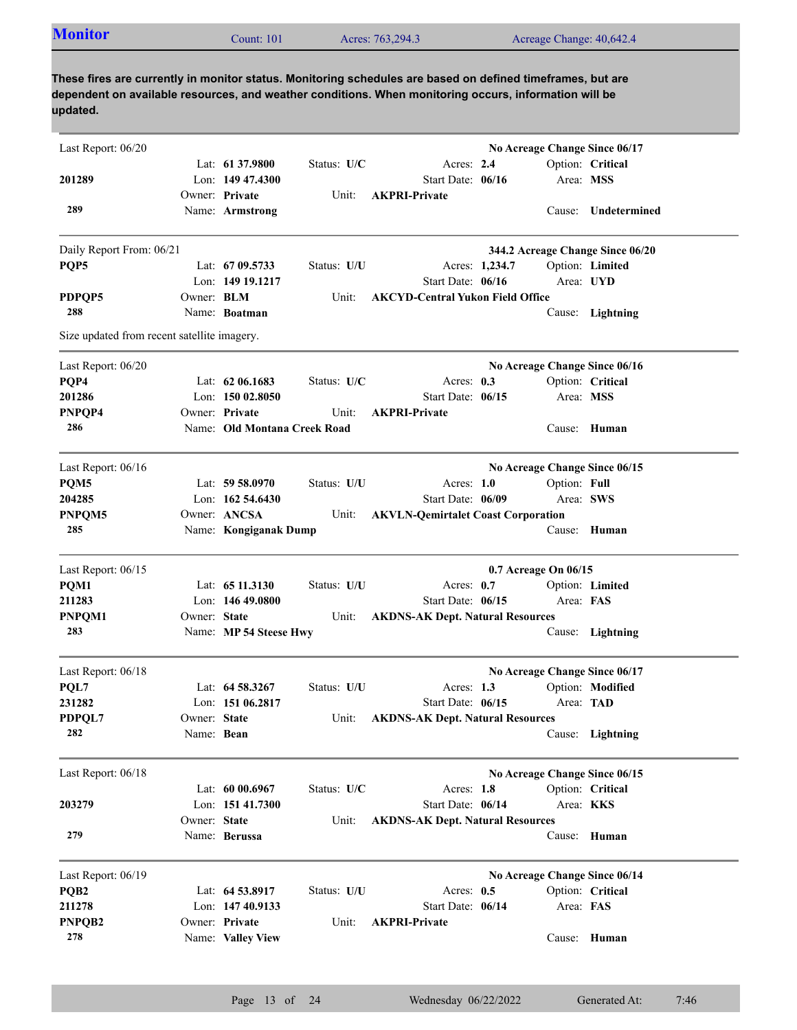| <b>Monitor</b> | Count: 101 | Acres: 763,294.3 | Acreage Change: 40,642.4 |  |
|----------------|------------|------------------|--------------------------|--|
|                |            |                  |                          |  |

| Last Report: 06/20                          |              |                              |             |                                           |                      |              | No Acreage Change Since 06/17    |
|---------------------------------------------|--------------|------------------------------|-------------|-------------------------------------------|----------------------|--------------|----------------------------------|
|                                             |              | Lat: 61 37.9800              | Status: U/C | Acres: 2.4                                |                      |              | Option: Critical                 |
| 201289                                      |              | Lon: $14947.4300$            |             | Start Date: 06/16                         |                      | Area: MSS    |                                  |
|                                             |              | Owner: Private               | Unit:       | <b>AKPRI-Private</b>                      |                      |              |                                  |
| 289                                         |              | Name: Armstrong              |             |                                           |                      |              | Cause: Undetermined              |
| Daily Report From: 06/21                    |              |                              |             |                                           |                      |              | 344.2 Acreage Change Since 06/20 |
| PQP5                                        |              | Lat: 67 09.5733              | Status: U/U | Acres: 1,234.7                            |                      |              | Option: Limited                  |
|                                             |              | Lon: 149 19.1217             |             | Start Date: 06/16                         |                      |              | Area: UYD                        |
| PDPQP5                                      | Owner: BLM   |                              | Unit:       | <b>AKCYD-Central Yukon Field Office</b>   |                      |              |                                  |
| 288                                         |              | Name: Boatman                |             |                                           |                      |              | Cause: Lightning                 |
| Size updated from recent satellite imagery. |              |                              |             |                                           |                      |              |                                  |
| Last Report: 06/20                          |              |                              |             |                                           |                      |              | No Acreage Change Since 06/16    |
| PQP4                                        |              | Lat: $62\,06.1683$           | Status: U/C | Acres: $0.3$                              |                      |              | Option: Critical                 |
| 201286                                      |              | Lon: 150 02.8050             |             | Start Date: 06/15                         |                      | Area: MSS    |                                  |
| PNPQP4                                      |              | Owner: Private               | Unit:       | <b>AKPRI-Private</b>                      |                      |              |                                  |
| 286                                         |              | Name: Old Montana Creek Road |             |                                           |                      |              | Cause: Human                     |
| Last Report: 06/16                          |              |                              |             |                                           |                      |              | No Acreage Change Since 06/15    |
| PQM5                                        |              | Lat: $59 58.0970$            | Status: U/U | Acres: $1.0$                              |                      | Option: Full |                                  |
| 204285                                      |              | Lon: $162, 54.6430$          |             | Start Date: 06/09                         |                      | Area: SWS    |                                  |
| PNPQM5                                      |              | Owner: ANCSA                 | Unit:       | <b>AKVLN-Qemirtalet Coast Corporation</b> |                      |              |                                  |
| 285                                         |              | Name: Kongiganak Dump        |             |                                           |                      |              | Cause: Human                     |
| Last Report: 06/15                          |              |                              |             |                                           | 0.7 Acreage On 06/15 |              |                                  |
| PQM1                                        |              | Lat: $6511.3130$             | Status: U/U | Acres: 0.7                                |                      |              | Option: Limited                  |
| 211283                                      |              | Lon: $14649.0800$            |             | Start Date: 06/15                         |                      | Area: FAS    |                                  |
| PNPQM1                                      | Owner: State |                              | Unit:       | <b>AKDNS-AK Dept. Natural Resources</b>   |                      |              |                                  |
| 283                                         |              | Name: MP 54 Steese Hwy       |             |                                           |                      |              | Cause: Lightning                 |
| Last Report: 06/18                          |              |                              |             |                                           |                      |              | No Acreage Change Since 06/17    |
| PQL7                                        |              | Lat: 64 58.3267              | Status: U/U | Acres: $1.3$                              |                      |              | Option: Modified                 |
| 231282                                      |              | Lon: 151 06.2817             |             | Start Date: 06/15                         |                      | Area: TAD    |                                  |
| PDPQL7                                      | Owner: State |                              | Unit:       | <b>AKDNS-AK Dept. Natural Resources</b>   |                      |              |                                  |
| 282                                         | Name: Bean   |                              |             |                                           |                      |              | Cause: Lightning                 |
| Last Report: 06/18                          |              |                              |             |                                           |                      |              | No Acreage Change Since 06/15    |
|                                             |              | Lat: 60 00.6967              | Status: U/C | Acres: 1.8                                |                      |              | Option: Critical                 |
| 203279                                      |              | Lon: 151 41.7300             |             | Start Date: 06/14                         |                      |              | Area: KKS                        |
|                                             | Owner: State |                              | Unit:       | <b>AKDNS-AK Dept. Natural Resources</b>   |                      |              |                                  |
| 279                                         |              | Name: Berussa                |             |                                           |                      | Cause:       | Human                            |
| Last Report: 06/19                          |              |                              |             |                                           |                      |              | No Acreage Change Since 06/14    |
| PQB <sub>2</sub>                            |              | Lat: 64 53.8917              | Status: U/U | Acres: 0.5                                |                      |              | Option: Critical                 |
| 211278                                      |              | Lon: 147 40.9133             |             | Start Date: 06/14                         |                      | Area: FAS    |                                  |
| PNPQB2                                      |              | Owner: Private               | Unit:       | <b>AKPRI-Private</b>                      |                      |              |                                  |
| 278                                         |              | Name: Valley View            |             |                                           |                      |              | Cause: Human                     |
|                                             |              |                              |             |                                           |                      |              |                                  |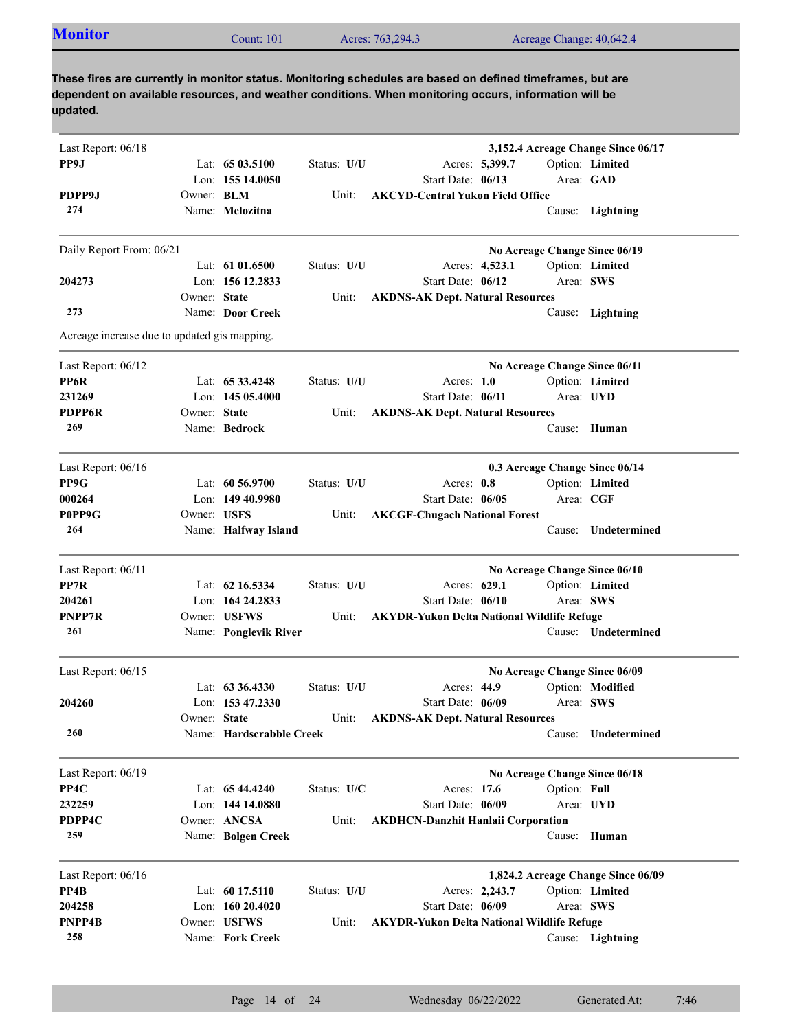| <b>Monitor</b>                               |              | <b>Count: 101</b> |             | Acres: 763,294.3                                                                                                                                                                                                    |                | Acreage Change: 40,642.4      |                                    |
|----------------------------------------------|--------------|-------------------|-------------|---------------------------------------------------------------------------------------------------------------------------------------------------------------------------------------------------------------------|----------------|-------------------------------|------------------------------------|
|                                              |              |                   |             |                                                                                                                                                                                                                     |                |                               |                                    |
| updated.                                     |              |                   |             | These fires are currently in monitor status. Monitoring schedules are based on defined timeframes, but are<br>dependent on available resources, and weather conditions. When monitoring occurs, information will be |                |                               |                                    |
| Last Report: 06/18                           |              |                   |             |                                                                                                                                                                                                                     |                |                               | 3,152.4 Acreage Change Since 06/17 |
| PP9J                                         |              | Lat: $6503.5100$  | Status: U/U |                                                                                                                                                                                                                     | Acres: 5,399.7 |                               | Option: Limited                    |
|                                              |              | Lon: $15514.0050$ |             | Start Date: 06/13                                                                                                                                                                                                   |                |                               | Area: GAD                          |
| PDPP9J                                       | Owner: BLM   |                   | Unit:       | <b>AKCYD-Central Yukon Field Office</b>                                                                                                                                                                             |                |                               |                                    |
| 274                                          |              | Name: Melozitna   |             |                                                                                                                                                                                                                     |                |                               | Cause: Lightning                   |
| Daily Report From: 06/21                     |              |                   |             |                                                                                                                                                                                                                     |                |                               | No Acreage Change Since 06/19      |
|                                              |              | Lat: $6101.6500$  | Status: U/U |                                                                                                                                                                                                                     | Acres: 4,523.1 |                               | Option: Limited                    |
| 204273                                       |              | Lon: 156 12.2833  |             | Start Date: 06/12                                                                                                                                                                                                   |                | Area: SWS                     |                                    |
|                                              | Owner: State |                   | Unit:       | <b>AKDNS-AK Dept. Natural Resources</b>                                                                                                                                                                             |                |                               |                                    |
| 273                                          |              | Name: Door Creek  |             |                                                                                                                                                                                                                     |                |                               | Cause: Lightning                   |
| Acreage increase due to updated gis mapping. |              |                   |             |                                                                                                                                                                                                                     |                |                               |                                    |
| Last Report: 06/12                           |              |                   |             |                                                                                                                                                                                                                     |                | No Acreage Change Since 06/11 |                                    |
| PP6R                                         |              | Lat: 65 33.4248   | Status: U/U | Acres: $1.0$                                                                                                                                                                                                        |                |                               | Option: Limited                    |
| 231269                                       |              | Lon: 145 05.4000  |             | Start Date: 06/11                                                                                                                                                                                                   |                | Area: UYD                     |                                    |
|                                              |              |                   |             |                                                                                                                                                                                                                     |                |                               |                                    |
| <b>PDPP6R</b>                                | Owner: State |                   | Unit:       | <b>AKDNS-AK Dept. Natural Resources</b>                                                                                                                                                                             |                |                               |                                    |

| PP9G<br>Lat: $60\,56.9700$<br>Status: U/U<br>Option: Limited<br>Acres: $0.8$ |
|------------------------------------------------------------------------------|
|                                                                              |
| 000264<br>Lon: $14940.9980$<br>Start Date: 06/05<br>Area: CGF                |
| P0PP9G<br><b>AKCGF-Chugach National Forest</b><br>Unit:<br>Owner: USFS       |
| 264<br>Name: Halfway Island<br>Undetermined<br>Cause:                        |

| Last Report: 06/11 |                       |             |                                                   | No Acreage Change Since 06/10 |                     |
|--------------------|-----------------------|-------------|---------------------------------------------------|-------------------------------|---------------------|
| PP7R               | Lat: $62$ 16.5334     | Status: U/U | Acres: 629.1                                      |                               | Option: Limited     |
| 204261             | Lon: $16424.2833$     |             | Start Date: $06/10$                               | Area: SWS                     |                     |
| <b>PNPP7R</b>      | Owner: USFWS          | Unit:       | <b>AKYDR-Yukon Delta National Wildlife Refuge</b> |                               |                     |
| 261                | Name: Ponglevik River |             |                                                   | Cause:                        | <b>Undetermined</b> |
|                    |                       |             |                                                   |                               |                     |

| Last Report: $06/15$ |              |                          |             |                                         | No Acreage Change Since 06/09 |                     |
|----------------------|--------------|--------------------------|-------------|-----------------------------------------|-------------------------------|---------------------|
|                      |              | Lat: $63\,36.4330$       | Status: U/U | Acres: $44.9$                           |                               | Option: Modified    |
| 204260               |              | Lon: $153\,47.2330$      |             | Start Date: 06/09                       | Area: SWS                     |                     |
|                      | Owner: State |                          | Unit:       | <b>AKDNS-AK Dept. Natural Resources</b> |                               |                     |
| 260                  |              | Name: Hardscrabble Creek |             |                                         | Cause:                        | <b>Undetermined</b> |
|                      |              |                          |             |                                         |                               |                     |

| Last Report: $06/19$ |                    |               | No Acreage Change Since 06/18             |
|----------------------|--------------------|---------------|-------------------------------------------|
| PP4C                 | Lat: 65 44.4240    | Status: $U/C$ | Option: Full<br>Acres: 17.6               |
| 232259               | Lon: $14414.0880$  |               | Start Date: 06/09<br>Area: UYD            |
| PDPP4C               | Owner: ANCSA       | Unit:         | <b>AKDHCN-Danzhit Hanlaii Corporation</b> |
| 259                  | Name: Bolgen Creek |               | Cause: Human                              |
| Last Report: $06/16$ |                    |               | 1,824.2 Acreage Change Since 06/09        |
| PP4B                 | Lat: 60 17.5110    | Status: U/U   | Option: Limited<br>Acres: 2.243.7         |

| PP4B   |              | Lat: $6017.5110$  | Status: U/U |                                            | Acres: 2,243.7 |           | Option: Limited  |  |
|--------|--------------|-------------------|-------------|--------------------------------------------|----------------|-----------|------------------|--|
| 204258 |              | Lon: $16020.4020$ |             | Start Date: 06/09                          |                | Area: SWS |                  |  |
| PNPP4B | Owner: USFWS |                   | Unit:       | AKYDR-Yukon Delta National Wildlife Refuge |                |           |                  |  |
| 258    |              | Name: Fork Creek  |             |                                            |                |           | Cause: Lightning |  |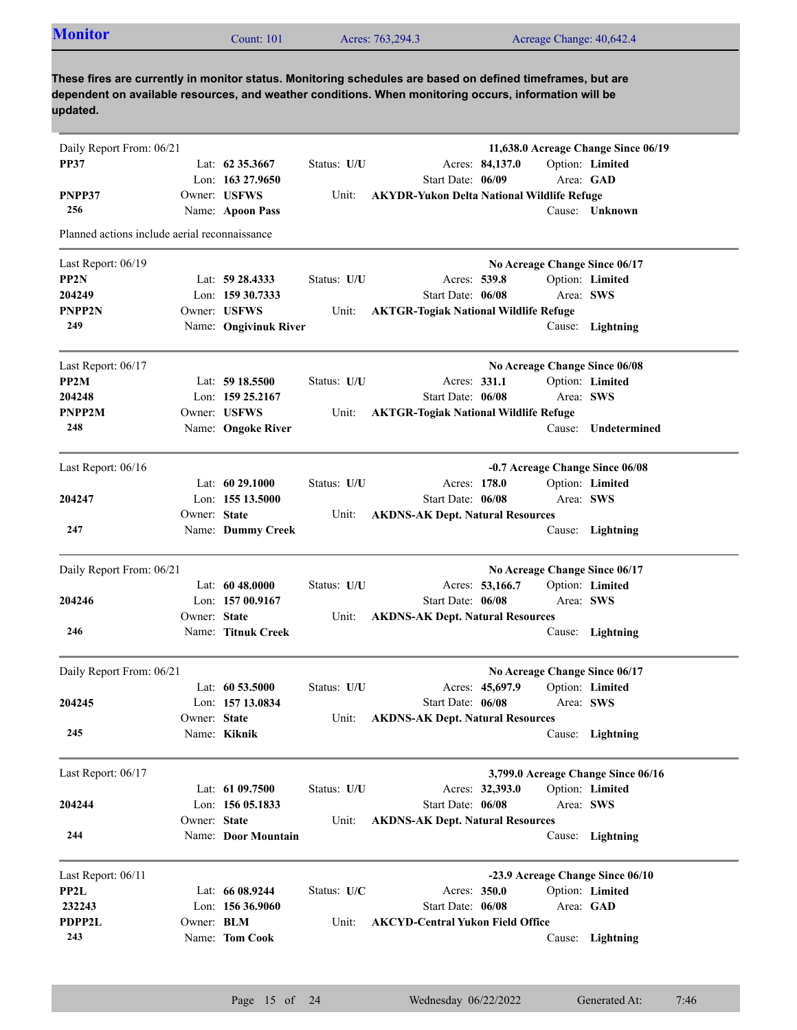| <b>Monitor</b>                                                                                                                                                                                                                  |              | Count: 101            |             | Acres: 763,294.3                             | Acreage Change: 40,642.4                          |                  |
|---------------------------------------------------------------------------------------------------------------------------------------------------------------------------------------------------------------------------------|--------------|-----------------------|-------------|----------------------------------------------|---------------------------------------------------|------------------|
| These fires are currently in monitor status. Monitoring schedules are based on defined timeframes, but are<br>dependent on available resources, and weather conditions. When monitoring occurs, information will be<br>updated. |              |                       |             |                                              |                                                   |                  |
| Daily Report From: 06/21                                                                                                                                                                                                        |              |                       |             |                                              | 11,638.0 Acreage Change Since 06/19               |                  |
| <b>PP37</b>                                                                                                                                                                                                                     |              | Lat: $62\,35.3667$    | Status: U/U |                                              | Acres: 84,137.0                                   | Option: Limited  |
|                                                                                                                                                                                                                                 |              | Lon: $16327.9650$     |             | Start Date: 06/09                            |                                                   | Area: GAD        |
| PNPP37                                                                                                                                                                                                                          |              | Owner: USFWS          | Unit:       |                                              | <b>AKYDR-Yukon Delta National Wildlife Refuge</b> |                  |
| 256                                                                                                                                                                                                                             |              | Name: Apoon Pass      |             |                                              |                                                   | Cause: Unknown   |
| Planned actions include aerial reconnaissance                                                                                                                                                                                   |              |                       |             |                                              |                                                   |                  |
| Last Report: 06/19                                                                                                                                                                                                              |              |                       |             |                                              | No Acreage Change Since 06/17                     |                  |
| PP2N                                                                                                                                                                                                                            |              | Lat: 59 28.4333       | Status: U/U | Acres: 539.8                                 |                                                   | Option: Limited  |
| 204249                                                                                                                                                                                                                          |              | Lon: 159 30.7333      |             | Start Date: 06/08                            |                                                   | Area: SWS        |
| <b>PNPP2N</b>                                                                                                                                                                                                                   |              | Owner: USFWS          | Unit:       | <b>AKTGR-Togiak National Wildlife Refuge</b> |                                                   |                  |
| 249                                                                                                                                                                                                                             |              | Name: Ongivinuk River |             |                                              |                                                   | Cause: Lightning |
| Last Report: 06/17                                                                                                                                                                                                              |              |                       |             |                                              | No Acreage Change Since 06/08                     |                  |
| PP2M                                                                                                                                                                                                                            |              | Lat: $5918.5500$      | Status: U/U | Acres: 331.1                                 |                                                   | Option: Limited  |
| 204248                                                                                                                                                                                                                          |              | Lon: 159 25.2167      |             | Start Date: 06/08                            |                                                   | Area: SWS        |
| PNPP2M                                                                                                                                                                                                                          |              | Owner: USFWS          | Unit:       | <b>AKTGR-Togiak National Wildlife Refuge</b> |                                                   |                  |
| 248                                                                                                                                                                                                                             |              | Name: Ongoke River    |             |                                              | Cause:                                            | Undetermined     |
| Last Report: 06/16                                                                                                                                                                                                              |              |                       |             |                                              | -0.7 Acreage Change Since 06/08                   |                  |
|                                                                                                                                                                                                                                 |              | Lat: $6029.1000$      | Status: U/U | Acres: 178.0                                 |                                                   | Option: Limited  |
| 204247                                                                                                                                                                                                                          |              | Lon: 155 13.5000      |             | Start Date: 06/08                            |                                                   | Area: SWS        |
|                                                                                                                                                                                                                                 | Owner: State |                       | Unit:       | <b>AKDNS-AK Dept. Natural Resources</b>      |                                                   |                  |
| 247                                                                                                                                                                                                                             |              | Name: Dummy Creek     |             |                                              |                                                   | Cause: Lightning |
| Daily Report From: 06/21                                                                                                                                                                                                        |              |                       |             |                                              | No Acreage Change Since 06/17                     |                  |
|                                                                                                                                                                                                                                 |              | Lat: $6048.0000$      | Status: U/U |                                              | Acres: 53,166.7                                   | Option: Limited  |
| 204246                                                                                                                                                                                                                          |              | Lon: $15700.9167$     |             | Start Date: 06/08                            |                                                   | Area: SWS        |
|                                                                                                                                                                                                                                 | Owner: State |                       | Unit:       | <b>AKDNS-AK Dept. Natural Resources</b>      |                                                   |                  |
| 246                                                                                                                                                                                                                             |              | Name: Titnuk Creek    |             |                                              |                                                   | Cause: Lightning |
| Daily Report From: 06/21                                                                                                                                                                                                        |              |                       |             |                                              | No Acreage Change Since 06/17                     |                  |
|                                                                                                                                                                                                                                 |              | Lat: $60\,53.5000$    | Status: U/U |                                              | Acres: 45,697.9                                   | Option: Limited  |
| 204245                                                                                                                                                                                                                          |              | Lon: 157 13.0834      |             | Start Date: 06/08                            |                                                   | Area: SWS        |
|                                                                                                                                                                                                                                 | Owner: State |                       | Unit:       | <b>AKDNS-AK Dept. Natural Resources</b>      |                                                   |                  |
| 245                                                                                                                                                                                                                             |              | Name: Kiknik          |             |                                              |                                                   | Cause: Lightning |
| Last Report: 06/17                                                                                                                                                                                                              |              |                       |             |                                              | 3,799.0 Acreage Change Since 06/16                |                  |
|                                                                                                                                                                                                                                 |              | Lat: 61 09.7500       | Status: U/U |                                              | Acres: 32,393.0                                   | Option: Limited  |
| 204244                                                                                                                                                                                                                          |              | Lon: 156 05.1833      |             | Start Date: 06/08                            |                                                   | Area: SWS        |
|                                                                                                                                                                                                                                 | Owner: State |                       | Unit:       | <b>AKDNS-AK Dept. Natural Resources</b>      |                                                   |                  |
| 244                                                                                                                                                                                                                             |              | Name: Door Mountain   |             |                                              |                                                   | Cause: Lightning |
| Last Report: 06/11                                                                                                                                                                                                              |              |                       |             |                                              | -23.9 Acreage Change Since 06/10                  |                  |
| PP2L                                                                                                                                                                                                                            |              | Lat: 66 08.9244       | Status: U/C | Acres: 350.0                                 |                                                   | Option: Limited  |
| 232243                                                                                                                                                                                                                          |              | Lon: 156 36.9060      |             | Start Date: 06/08                            |                                                   | Area: GAD        |
| PDPP2L                                                                                                                                                                                                                          | Owner: BLM   |                       | Unit:       | <b>AKCYD-Central Yukon Field Office</b>      |                                                   |                  |
| 243                                                                                                                                                                                                                             |              | Name: Tom Cook        |             |                                              |                                                   | Cause: Lightning |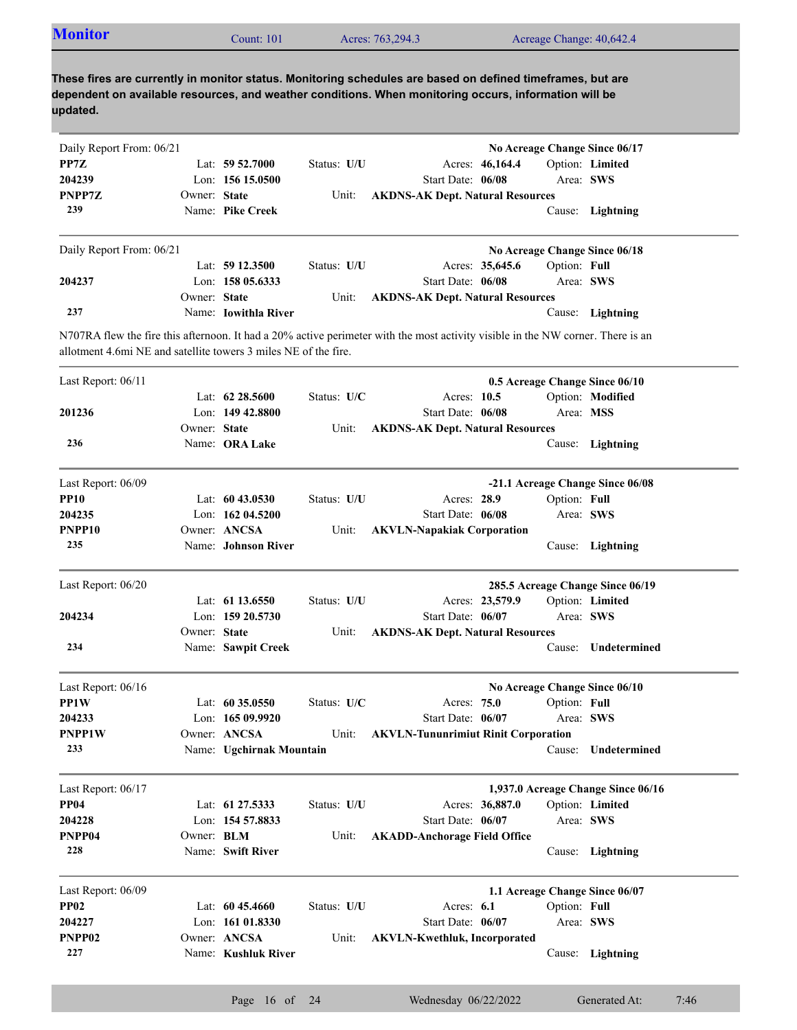| These fires are currently in monitor status. Monitoring schedules are based on defined timeframes, but are<br>dependent on available resources, and weather conditions. When monitoring occurs, information will be<br>updated.<br>No Acreage Change Since 06/17<br>Acres: 46,164.4<br>Option: Limited<br>Lat: $5952.7000$<br>Status: U/U<br>Lon: 156 15.0500<br>Start Date: 06/08<br>Area: SWS<br>PNPP7Z<br>Owner: State<br><b>AKDNS-AK Dept. Natural Resources</b><br>Unit:<br>239<br>Name: Pike Creek<br>Cause: Lightning<br>No Acreage Change Since 06/18<br>Acres: 35,645.6<br>Option: Full<br>Lat: $59\,12.3500$<br>Status: U/U<br>Lon: $15805.6333$<br>Start Date: 06/08<br>Area: SWS<br>Owner: State<br>Unit:<br><b>AKDNS-AK Dept. Natural Resources</b><br>237<br>Name: <b>Iowithla River</b><br>Cause: Lightning<br>0.5 Acreage Change Since 06/10<br>Option: Modified<br>Lat: $62\,28.5600$<br>Status: U/C<br>Acres: 10.5<br>Lon: $14942.8800$<br>Start Date: 06/08<br>Area: MSS<br>Owner: State<br><b>AKDNS-AK Dept. Natural Resources</b><br>Unit:<br>236<br>Name: ORA Lake<br>Cause: Lightning<br>-21.1 Acreage Change Since 06/08<br>Lat: 60 43.0530<br>Status: U/U<br>Acres: 28.9<br>Option: Full<br>Lon: $16204.5200$<br>Start Date: 06/08<br>Area: SWS<br>Owner: ANCSA<br>Unit:<br><b>AKVLN-Napakiak Corporation</b><br>235<br>Name: Johnson River<br>Cause: Lightning<br>285.5 Acreage Change Since 06/19<br>Lat: 61 13.6550<br>Acres: 23,579.9<br>Option: Limited<br>Status: U/U |  |
|------------------------------------------------------------------------------------------------------------------------------------------------------------------------------------------------------------------------------------------------------------------------------------------------------------------------------------------------------------------------------------------------------------------------------------------------------------------------------------------------------------------------------------------------------------------------------------------------------------------------------------------------------------------------------------------------------------------------------------------------------------------------------------------------------------------------------------------------------------------------------------------------------------------------------------------------------------------------------------------------------------------------------------------------------------------------------------------------------------------------------------------------------------------------------------------------------------------------------------------------------------------------------------------------------------------------------------------------------------------------------------------------------------------------------------------------------------------------------------------------------|--|
| Daily Report From: 06/21<br>PP7Z<br>204239<br>Daily Report From: 06/21<br>204237<br>N707RA flew the fire this afternoon. It had a 20% active perimeter with the most activity visible in the NW corner. There is an<br>allotment 4.6mi NE and satellite towers 3 miles NE of the fire.<br>Last Report: 06/11<br>201236<br>Last Report: 06/09<br><b>PP10</b><br>204235<br>PNPP10<br>Last Report: 06/20                                                                                                                                                                                                                                                                                                                                                                                                                                                                                                                                                                                                                                                                                                                                                                                                                                                                                                                                                                                                                                                                                                |  |
|                                                                                                                                                                                                                                                                                                                                                                                                                                                                                                                                                                                                                                                                                                                                                                                                                                                                                                                                                                                                                                                                                                                                                                                                                                                                                                                                                                                                                                                                                                      |  |
|                                                                                                                                                                                                                                                                                                                                                                                                                                                                                                                                                                                                                                                                                                                                                                                                                                                                                                                                                                                                                                                                                                                                                                                                                                                                                                                                                                                                                                                                                                      |  |
|                                                                                                                                                                                                                                                                                                                                                                                                                                                                                                                                                                                                                                                                                                                                                                                                                                                                                                                                                                                                                                                                                                                                                                                                                                                                                                                                                                                                                                                                                                      |  |
|                                                                                                                                                                                                                                                                                                                                                                                                                                                                                                                                                                                                                                                                                                                                                                                                                                                                                                                                                                                                                                                                                                                                                                                                                                                                                                                                                                                                                                                                                                      |  |
|                                                                                                                                                                                                                                                                                                                                                                                                                                                                                                                                                                                                                                                                                                                                                                                                                                                                                                                                                                                                                                                                                                                                                                                                                                                                                                                                                                                                                                                                                                      |  |
|                                                                                                                                                                                                                                                                                                                                                                                                                                                                                                                                                                                                                                                                                                                                                                                                                                                                                                                                                                                                                                                                                                                                                                                                                                                                                                                                                                                                                                                                                                      |  |
|                                                                                                                                                                                                                                                                                                                                                                                                                                                                                                                                                                                                                                                                                                                                                                                                                                                                                                                                                                                                                                                                                                                                                                                                                                                                                                                                                                                                                                                                                                      |  |
|                                                                                                                                                                                                                                                                                                                                                                                                                                                                                                                                                                                                                                                                                                                                                                                                                                                                                                                                                                                                                                                                                                                                                                                                                                                                                                                                                                                                                                                                                                      |  |
|                                                                                                                                                                                                                                                                                                                                                                                                                                                                                                                                                                                                                                                                                                                                                                                                                                                                                                                                                                                                                                                                                                                                                                                                                                                                                                                                                                                                                                                                                                      |  |
|                                                                                                                                                                                                                                                                                                                                                                                                                                                                                                                                                                                                                                                                                                                                                                                                                                                                                                                                                                                                                                                                                                                                                                                                                                                                                                                                                                                                                                                                                                      |  |
|                                                                                                                                                                                                                                                                                                                                                                                                                                                                                                                                                                                                                                                                                                                                                                                                                                                                                                                                                                                                                                                                                                                                                                                                                                                                                                                                                                                                                                                                                                      |  |
|                                                                                                                                                                                                                                                                                                                                                                                                                                                                                                                                                                                                                                                                                                                                                                                                                                                                                                                                                                                                                                                                                                                                                                                                                                                                                                                                                                                                                                                                                                      |  |
|                                                                                                                                                                                                                                                                                                                                                                                                                                                                                                                                                                                                                                                                                                                                                                                                                                                                                                                                                                                                                                                                                                                                                                                                                                                                                                                                                                                                                                                                                                      |  |
|                                                                                                                                                                                                                                                                                                                                                                                                                                                                                                                                                                                                                                                                                                                                                                                                                                                                                                                                                                                                                                                                                                                                                                                                                                                                                                                                                                                                                                                                                                      |  |
|                                                                                                                                                                                                                                                                                                                                                                                                                                                                                                                                                                                                                                                                                                                                                                                                                                                                                                                                                                                                                                                                                                                                                                                                                                                                                                                                                                                                                                                                                                      |  |
|                                                                                                                                                                                                                                                                                                                                                                                                                                                                                                                                                                                                                                                                                                                                                                                                                                                                                                                                                                                                                                                                                                                                                                                                                                                                                                                                                                                                                                                                                                      |  |
|                                                                                                                                                                                                                                                                                                                                                                                                                                                                                                                                                                                                                                                                                                                                                                                                                                                                                                                                                                                                                                                                                                                                                                                                                                                                                                                                                                                                                                                                                                      |  |
|                                                                                                                                                                                                                                                                                                                                                                                                                                                                                                                                                                                                                                                                                                                                                                                                                                                                                                                                                                                                                                                                                                                                                                                                                                                                                                                                                                                                                                                                                                      |  |
|                                                                                                                                                                                                                                                                                                                                                                                                                                                                                                                                                                                                                                                                                                                                                                                                                                                                                                                                                                                                                                                                                                                                                                                                                                                                                                                                                                                                                                                                                                      |  |
|                                                                                                                                                                                                                                                                                                                                                                                                                                                                                                                                                                                                                                                                                                                                                                                                                                                                                                                                                                                                                                                                                                                                                                                                                                                                                                                                                                                                                                                                                                      |  |
|                                                                                                                                                                                                                                                                                                                                                                                                                                                                                                                                                                                                                                                                                                                                                                                                                                                                                                                                                                                                                                                                                                                                                                                                                                                                                                                                                                                                                                                                                                      |  |
|                                                                                                                                                                                                                                                                                                                                                                                                                                                                                                                                                                                                                                                                                                                                                                                                                                                                                                                                                                                                                                                                                                                                                                                                                                                                                                                                                                                                                                                                                                      |  |
|                                                                                                                                                                                                                                                                                                                                                                                                                                                                                                                                                                                                                                                                                                                                                                                                                                                                                                                                                                                                                                                                                                                                                                                                                                                                                                                                                                                                                                                                                                      |  |
|                                                                                                                                                                                                                                                                                                                                                                                                                                                                                                                                                                                                                                                                                                                                                                                                                                                                                                                                                                                                                                                                                                                                                                                                                                                                                                                                                                                                                                                                                                      |  |
| Lon: 159 20.5730<br>Start Date: 06/07<br>Area: SWS<br>204234                                                                                                                                                                                                                                                                                                                                                                                                                                                                                                                                                                                                                                                                                                                                                                                                                                                                                                                                                                                                                                                                                                                                                                                                                                                                                                                                                                                                                                         |  |
| Owner: State<br><b>AKDNS-AK Dept. Natural Resources</b><br>Unit:                                                                                                                                                                                                                                                                                                                                                                                                                                                                                                                                                                                                                                                                                                                                                                                                                                                                                                                                                                                                                                                                                                                                                                                                                                                                                                                                                                                                                                     |  |
| 234<br>Name: Sawpit Creek<br>Cause: Undetermined                                                                                                                                                                                                                                                                                                                                                                                                                                                                                                                                                                                                                                                                                                                                                                                                                                                                                                                                                                                                                                                                                                                                                                                                                                                                                                                                                                                                                                                     |  |
|                                                                                                                                                                                                                                                                                                                                                                                                                                                                                                                                                                                                                                                                                                                                                                                                                                                                                                                                                                                                                                                                                                                                                                                                                                                                                                                                                                                                                                                                                                      |  |
| Last Report: 06/16<br>No Acreage Change Since 06/10<br>PP1W                                                                                                                                                                                                                                                                                                                                                                                                                                                                                                                                                                                                                                                                                                                                                                                                                                                                                                                                                                                                                                                                                                                                                                                                                                                                                                                                                                                                                                          |  |
| Option: Full<br>Lat: $60\,35.0550$<br>Status: U/C<br>Acres: 75.0<br>204233                                                                                                                                                                                                                                                                                                                                                                                                                                                                                                                                                                                                                                                                                                                                                                                                                                                                                                                                                                                                                                                                                                                                                                                                                                                                                                                                                                                                                           |  |
| Lon: 165 09.9920<br>Start Date: 06/07<br>Area: SWS                                                                                                                                                                                                                                                                                                                                                                                                                                                                                                                                                                                                                                                                                                                                                                                                                                                                                                                                                                                                                                                                                                                                                                                                                                                                                                                                                                                                                                                   |  |
| PNPP1W<br>Owner: ANCSA<br><b>AKVLN-Tununrimiut Rinit Corporation</b><br>Unit:                                                                                                                                                                                                                                                                                                                                                                                                                                                                                                                                                                                                                                                                                                                                                                                                                                                                                                                                                                                                                                                                                                                                                                                                                                                                                                                                                                                                                        |  |
| 233<br>Name: Ugchirnak Mountain<br>Cause: Undetermined                                                                                                                                                                                                                                                                                                                                                                                                                                                                                                                                                                                                                                                                                                                                                                                                                                                                                                                                                                                                                                                                                                                                                                                                                                                                                                                                                                                                                                               |  |
| Last Report: 06/17<br>1,937.0 Acreage Change Since 06/16                                                                                                                                                                                                                                                                                                                                                                                                                                                                                                                                                                                                                                                                                                                                                                                                                                                                                                                                                                                                                                                                                                                                                                                                                                                                                                                                                                                                                                             |  |
| <b>PP04</b><br>Lat: 61 27.5333<br>Acres: 36,887.0<br>Option: Limited<br>Status: U/U                                                                                                                                                                                                                                                                                                                                                                                                                                                                                                                                                                                                                                                                                                                                                                                                                                                                                                                                                                                                                                                                                                                                                                                                                                                                                                                                                                                                                  |  |
| Lon: 154 57.8833<br>Start Date: 06/07<br>Area: SWS<br>204228                                                                                                                                                                                                                                                                                                                                                                                                                                                                                                                                                                                                                                                                                                                                                                                                                                                                                                                                                                                                                                                                                                                                                                                                                                                                                                                                                                                                                                         |  |
| PNPP04<br>Owner: BLM<br><b>AKADD-Anchorage Field Office</b><br>Unit:                                                                                                                                                                                                                                                                                                                                                                                                                                                                                                                                                                                                                                                                                                                                                                                                                                                                                                                                                                                                                                                                                                                                                                                                                                                                                                                                                                                                                                 |  |
| 228<br>Name: Swift River<br>Cause: Lightning                                                                                                                                                                                                                                                                                                                                                                                                                                                                                                                                                                                                                                                                                                                                                                                                                                                                                                                                                                                                                                                                                                                                                                                                                                                                                                                                                                                                                                                         |  |
| Last Report: 06/09<br>1.1 Acreage Change Since 06/07                                                                                                                                                                                                                                                                                                                                                                                                                                                                                                                                                                                                                                                                                                                                                                                                                                                                                                                                                                                                                                                                                                                                                                                                                                                                                                                                                                                                                                                 |  |
| <b>PP02</b><br>Option: Full<br>Lat: $6045.4660$<br>Status: U/U<br>Acres: 6.1                                                                                                                                                                                                                                                                                                                                                                                                                                                                                                                                                                                                                                                                                                                                                                                                                                                                                                                                                                                                                                                                                                                                                                                                                                                                                                                                                                                                                         |  |
| 204227<br>Lon: 161 01.8330<br>Start Date: 06/07<br>Area: SWS                                                                                                                                                                                                                                                                                                                                                                                                                                                                                                                                                                                                                                                                                                                                                                                                                                                                                                                                                                                                                                                                                                                                                                                                                                                                                                                                                                                                                                         |  |
| PNPP02<br>Owner: ANCSA                                                                                                                                                                                                                                                                                                                                                                                                                                                                                                                                                                                                                                                                                                                                                                                                                                                                                                                                                                                                                                                                                                                                                                                                                                                                                                                                                                                                                                                                               |  |
| <b>AKVLN-Kwethluk, Incorporated</b><br>Unit:                                                                                                                                                                                                                                                                                                                                                                                                                                                                                                                                                                                                                                                                                                                                                                                                                                                                                                                                                                                                                                                                                                                                                                                                                                                                                                                                                                                                                                                         |  |
| 227<br>Name: Kushluk River<br>Cause: Lightning                                                                                                                                                                                                                                                                                                                                                                                                                                                                                                                                                                                                                                                                                                                                                                                                                                                                                                                                                                                                                                                                                                                                                                                                                                                                                                                                                                                                                                                       |  |

Page 16 of 24 Wednesday 06/22/2022 Generated At: 7:46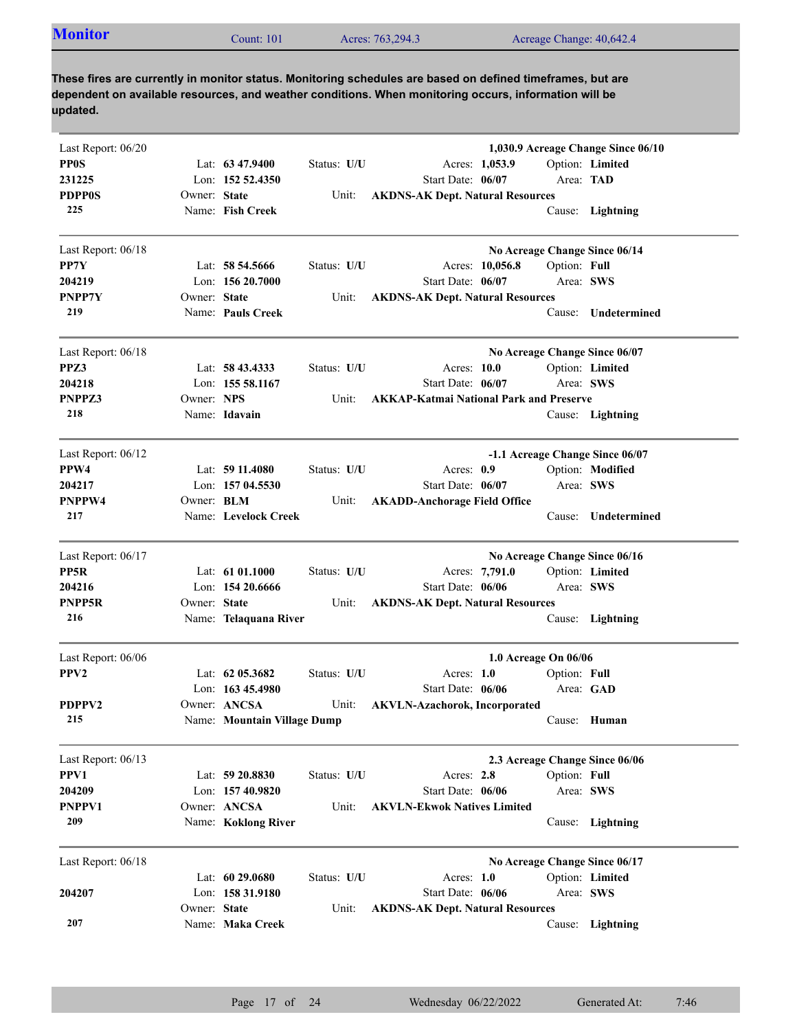| <b>Monitor</b><br>Acres: 763,294.3<br>Acreage Change: 40,642.4<br>$\mathcal$ Lount: 101 |
|-----------------------------------------------------------------------------------------|
|-----------------------------------------------------------------------------------------|

| Last Report: 06/20 |                   |                             |             | 1,030.9 Acreage Change Since 06/10             |
|--------------------|-------------------|-----------------------------|-------------|------------------------------------------------|
| <b>PPOS</b>        |                   | Lat: $63\,47.9400$          | Status: U/U | Option: Limited<br>Acres: 1,053.9              |
| 231225             |                   | Lon: $152,52,4350$          |             | Start Date: 06/07<br>Area: TAD                 |
| <b>PDPP0S</b>      | Owner: State      |                             | Unit:       | <b>AKDNS-AK Dept. Natural Resources</b>        |
| 225                |                   | Name: Fish Creek            |             | Cause: Lightning                               |
| Last Report: 06/18 |                   |                             |             | No Acreage Change Since 06/14                  |
| PP7Y               |                   | Lat: 58 54.5666             | Status: U/U | Acres: 10,056.8<br>Option: Full                |
| 204219             |                   | Lon: $15620.7000$           |             | Start Date: 06/07<br>Area: SWS                 |
| PNPP7Y             | Owner: State      |                             | Unit:       | <b>AKDNS-AK Dept. Natural Resources</b>        |
| 219                |                   | Name: Pauls Creek           |             | Undetermined<br>Cause:                         |
| Last Report: 06/18 |                   |                             |             | No Acreage Change Since 06/07                  |
| PPZ3               |                   | Lat: 58 43.4333             | Status: U/U | Option: Limited<br>Acres: 10.0                 |
| 204218             |                   | Lon: 155 58.1167            |             | Start Date: 06/07<br>Area: SWS                 |
| PNPPZ3             | Owner: NPS        |                             | Unit:       | <b>AKKAP-Katmai National Park and Preserve</b> |
| 218                |                   | Name: Idavain               |             | Cause: Lightning                               |
| Last Report: 06/12 |                   |                             |             | -1.1 Acreage Change Since 06/07                |
| PPW4               |                   | Lat: $5911.4080$            | Status: U/U | Option: Modified<br>Acres: $0.9$               |
| 204217             |                   | Lon: 157 04.5530            |             | Start Date: 06/07<br>Area: SWS                 |
| <b>PNPPW4</b>      | Owner: <b>BLM</b> |                             | Unit:       | <b>AKADD-Anchorage Field Office</b>            |
| 217                |                   | Name: Levelock Creek        |             | Undetermined<br>Cause:                         |
| Last Report: 06/17 |                   |                             |             | No Acreage Change Since 06/16                  |
| PP5R               |                   | Lat: $61\,01.1000$          | Status: U/U | Option: Limited<br>Acres: 7,791.0              |
| 204216             |                   | Lon: $15420.6666$           |             | Start Date: 06/06<br>Area: SWS                 |
| PNPP5R             | Owner: State      |                             | Unit:       | <b>AKDNS-AK Dept. Natural Resources</b>        |
| 216                |                   | Name: Telaquana River       |             | Cause: Lightning                               |
| Last Report: 06/06 |                   |                             |             | 1.0 Acreage On 06/06                           |
| PPV <sub>2</sub>   |                   | Lat: $6205.3682$            | Status: U/U | Acres: $1.0$<br>Option: Full                   |
|                    |                   | Lon: $16345.4980$           |             | Area: GAD<br>Start Date: 06/06                 |
| PDPPV2             |                   | Owner: ANCSA                | Unit:       | <b>AKVLN-Azachorok, Incorporated</b>           |
| 215                |                   | Name: Mountain Village Dump |             | Cause: Human                                   |
| Last Report: 06/13 |                   |                             |             | 2.3 Acreage Change Since 06/06                 |
| PPV1               |                   | Lat: 59 20.8830             | Status: U/U | Acres: 2.8<br>Option: Full                     |
| 204209             |                   | Lon: 157 40.9820            |             | Start Date: 06/06<br>Area: SWS                 |
| PNPPV1             |                   | Owner: ANCSA                | Unit:       | <b>AKVLN-Ekwok Natives Limited</b>             |
| 209                |                   | Name: Koklong River         |             | Cause: Lightning                               |
| Last Report: 06/18 |                   |                             |             | No Acreage Change Since 06/17                  |
|                    |                   | Lat: 60 29.0680             | Status: U/U | Option: Limited<br>Acres: $1.0$                |
| 204207             |                   | Lon: 158 31.9180            |             | Start Date: 06/06<br>Area: SWS                 |
|                    | Owner: State      |                             | Unit:       | <b>AKDNS-AK Dept. Natural Resources</b>        |
| 207                |                   | Name: Maka Creek            |             | Cause:<br>Lightning                            |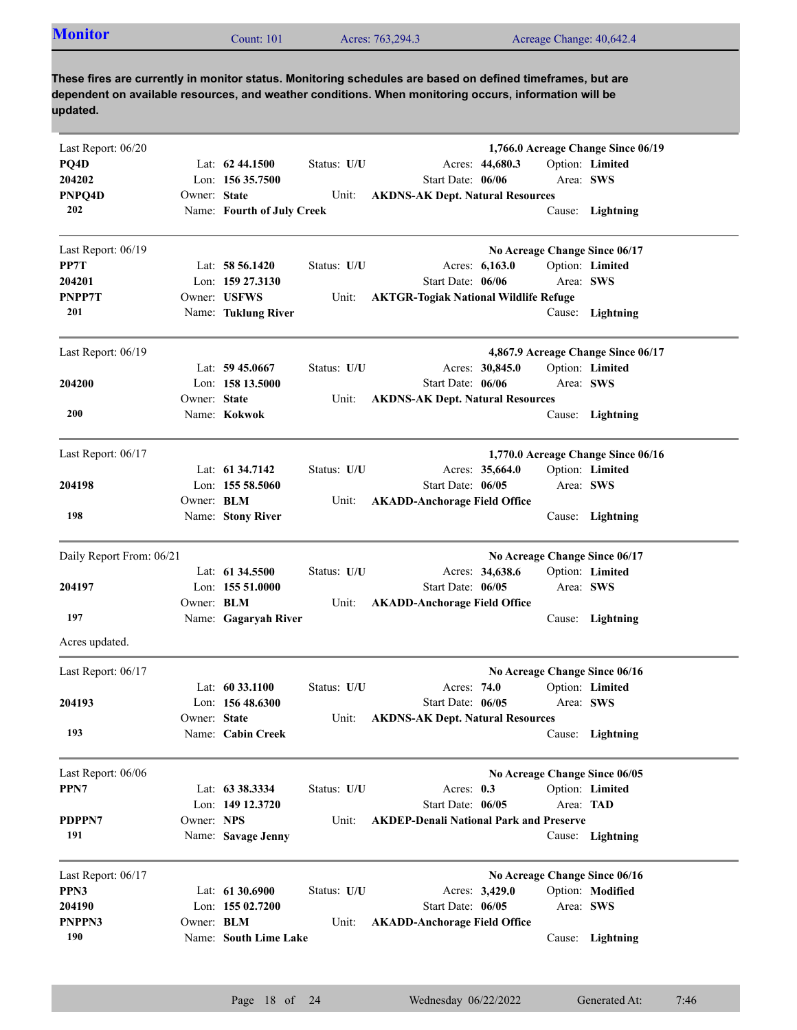| <b>Monitor</b><br>Acres: 763,294.3<br>Acreage Change: 40,642.4<br>$\mathcal{L}$ ount: 101 |
|-------------------------------------------------------------------------------------------|
|-------------------------------------------------------------------------------------------|

| Last Report: 06/20       |                                   | 1,766.0 Acreage Change Since 06/19             |  |
|--------------------------|-----------------------------------|------------------------------------------------|--|
| PQ4D                     | Lat: $62\,44.1500$<br>Status: U/U | Acres: 44,680.3<br>Option: Limited             |  |
| 204202                   | Lon: 156 35.7500                  | Start Date: 06/06<br>Area: SWS                 |  |
| PNPQ4D<br>Owner: State   | Unit:                             | <b>AKDNS-AK Dept. Natural Resources</b>        |  |
| 202                      | Name: Fourth of July Creek        | Cause: Lightning                               |  |
| Last Report: 06/19       |                                   | No Acreage Change Since 06/17                  |  |
| PP7T                     | Status: U/U<br>Lat: $58,56,1420$  | Acres: 6.163.0<br>Option: Limited              |  |
| 204201                   | Lon: $159\,27.3130$               | Start Date: 06/06<br>Area: SWS                 |  |
| PNPP7T                   | Owner: USFWS<br>Unit:             | <b>AKTGR-Togiak National Wildlife Refuge</b>   |  |
| 201                      | Name: Tuklung River               | Cause: Lightning                               |  |
| Last Report: 06/19       |                                   | 4,867.9 Acreage Change Since 06/17             |  |
|                          | Lat: $59\,45.0667$<br>Status: U/U | Option: Limited<br>Acres: 30,845.0             |  |
| 204200                   | Lon: 158 13.5000                  | Start Date: 06/06<br>Area: SWS                 |  |
| Owner: State             | Unit:                             | <b>AKDNS-AK Dept. Natural Resources</b>        |  |
| 200                      | Name: Kokwok                      | Cause: Lightning                               |  |
| Last Report: 06/17       |                                   | 1,770.0 Acreage Change Since 06/16             |  |
|                          | Lat: 61 34.7142<br>Status: U/U    | Acres: 35,664.0<br>Option: Limited             |  |
| 204198                   | Lon: 155 58.5060                  | Start Date: 06/05<br>Area: SWS                 |  |
| Owner: BLM               | Unit:                             | <b>AKADD-Anchorage Field Office</b>            |  |
| 198                      | Name: Stony River                 | Cause: Lightning                               |  |
| Daily Report From: 06/21 |                                   | No Acreage Change Since 06/17                  |  |
|                          | Lat: 61 34.5500<br>Status: U/U    | Option: Limited<br>Acres: 34,638.6             |  |
| 204197                   | Lon: 155 51.0000                  | Start Date: 06/05<br>Area: SWS                 |  |
| Owner: BLM               | Unit:                             | <b>AKADD-Anchorage Field Office</b>            |  |
| 197                      | Name: Gagaryah River              | Cause: Lightning                               |  |
| Acres updated.           |                                   |                                                |  |
| Last Report: 06/17       |                                   | No Acreage Change Since 06/16                  |  |
|                          | Lat: $6033.1100$<br>Status: U/U   | Option: Limited<br>Acres: 74.0                 |  |
| 204193                   | Lon: $15648.6300$                 | Start Date: 06/05<br>Area: SWS                 |  |
| Owner: State             |                                   | Unit: AKDNS-AK Dept. Natural Resources         |  |
| 193                      | Name: Cabin Creek                 | Cause: Lightning                               |  |
| Last Report: 06/06       |                                   | No Acreage Change Since 06/05                  |  |
| PPN7                     | Lat: 63 38.3334<br>Status: U/U    | Option: Limited<br>Acres: $0.3$                |  |
|                          | Lon: 149 12.3720                  | Start Date: 06/05<br>Area: TAD                 |  |
| PDPPN7<br>Owner: NPS     | Unit:                             | <b>AKDEP-Denali National Park and Preserve</b> |  |
| 191                      | Name: Savage Jenny                | Cause: Lightning                               |  |
| Last Report: 06/17       |                                   | No Acreage Change Since 06/16                  |  |
| PPN3                     | Lat: 61 30.6900<br>Status: U/U    | Option: Modified<br>Acres: 3,429.0             |  |
| 204190                   | Lon: 155 02.7200                  | Start Date: 06/05<br>Area: SWS                 |  |
| PNPPN3<br>Owner: BLM     | Unit:                             | <b>AKADD-Anchorage Field Office</b>            |  |
| 190                      | Name: South Lime Lake             | Cause: Lightning                               |  |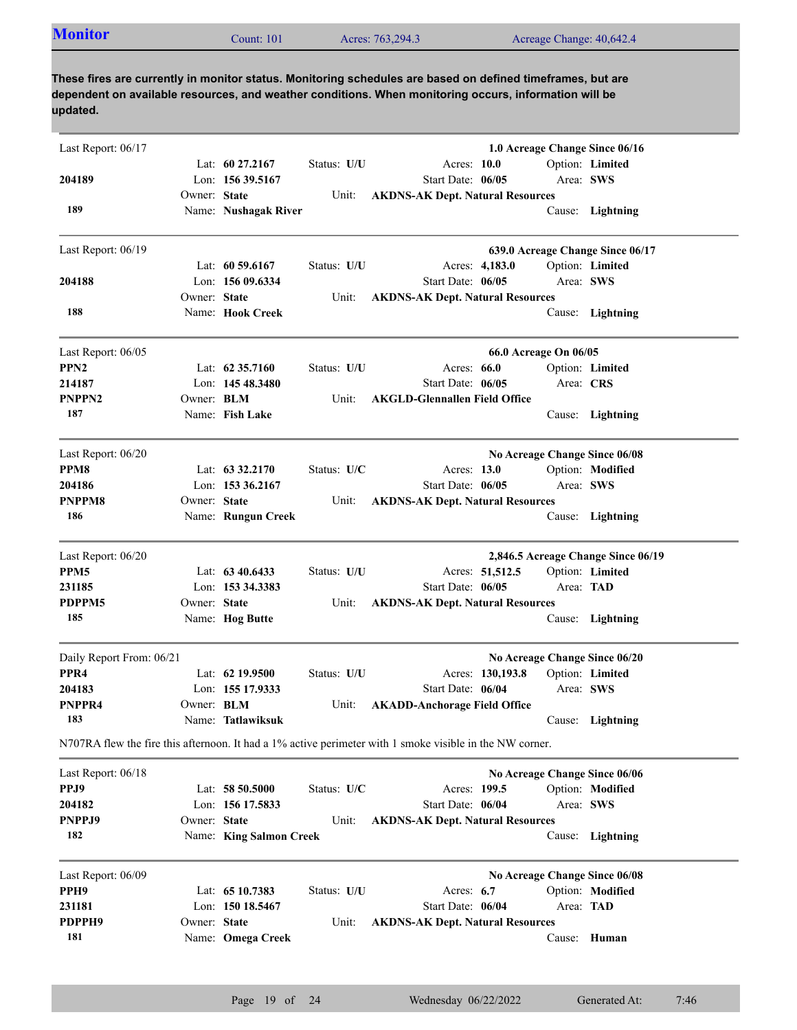| <b>Monitor</b><br>Acres: 763,294.3<br>Count: $101$ | Acreage Change: 40,642.4 |
|----------------------------------------------------|--------------------------|
|----------------------------------------------------|--------------------------|

| Last Report: $06/17$     |                   |                         |             | 1.0 Acreage Change Since 06/16                                                                           |                                    |
|--------------------------|-------------------|-------------------------|-------------|----------------------------------------------------------------------------------------------------------|------------------------------------|
|                          |                   | Lat: 60 27.2167         | Status: U/U | Acres: 10.0                                                                                              | Option: Limited                    |
| 204189                   |                   | Lon: 156 39.5167        |             | Start Date: 06/05                                                                                        | Area: SWS                          |
|                          | Owner: State      |                         | Unit:       | <b>AKDNS-AK Dept. Natural Resources</b>                                                                  |                                    |
| 189                      |                   | Name: Nushagak River    |             |                                                                                                          | Cause: Lightning                   |
| Last Report: 06/19       |                   |                         |             | 639.0 Acreage Change Since 06/17                                                                         |                                    |
|                          |                   | Lat: $60\,59.6167$      | Status: U/U | Acres: 4,183.0                                                                                           | Option: Limited                    |
| 204188                   |                   | Lon: 156 09.6334        |             | Start Date: 06/05                                                                                        | Area: SWS                          |
|                          | Owner: State      |                         | Unit:       | <b>AKDNS-AK Dept. Natural Resources</b>                                                                  |                                    |
| 188                      |                   | Name: Hook Creek        |             |                                                                                                          | Cause: Lightning                   |
| Last Report: 06/05       |                   |                         |             | 66.0 Acreage On 06/05                                                                                    |                                    |
| PPN <sub>2</sub>         |                   | Lat: $62\,35.7160$      | Status: U/U | Acres: 66.0                                                                                              | Option: Limited                    |
| 214187                   |                   | Lon: 145 48.3480        |             | Start Date: 06/05                                                                                        | Area: CRS                          |
| PNPPN <sub>2</sub>       | Owner: <b>BLM</b> |                         | Unit:       | <b>AKGLD-Glennallen Field Office</b>                                                                     |                                    |
| 187                      |                   | Name: Fish Lake         |             | Cause:                                                                                                   | Lightning                          |
| Last Report: 06/20       |                   |                         |             | No Acreage Change Since 06/08                                                                            |                                    |
| PPM8                     |                   | Lat: $63\,32.2170$      | Status: U/C | Acres: 13.0                                                                                              | Option: Modified                   |
| 204186                   |                   | Lon: 153 36.2167        |             | Start Date: 06/05                                                                                        | Area: SWS                          |
| <b>PNPPM8</b>            | Owner: State      |                         | Unit:       | <b>AKDNS-AK Dept. Natural Resources</b>                                                                  |                                    |
| 186                      |                   | Name: Rungun Creek      |             |                                                                                                          | Cause: Lightning                   |
| Last Report: 06/20       |                   |                         |             |                                                                                                          | 2,846.5 Acreage Change Since 06/19 |
| PPM5                     |                   | Lat: $6340.6433$        | Status: U/U | Acres: 51,512.5                                                                                          | Option: Limited                    |
| 231185                   |                   | Lon: 153 34.3383        |             | Start Date: 06/05                                                                                        | Area: TAD                          |
| PDPPM5                   | Owner: State      |                         | Unit:       | <b>AKDNS-AK Dept. Natural Resources</b>                                                                  |                                    |
| 185                      |                   | Name: Hog Butte         |             |                                                                                                          | Cause: Lightning                   |
| Daily Report From: 06/21 |                   |                         |             | No Acreage Change Since 06/20                                                                            |                                    |
| PPR <sub>4</sub>         |                   | Lat: 62 19.9500         | Status: U/U | Acres: 130,193.8                                                                                         | Option: Limited                    |
| 204183                   |                   | Lon: 155 17.9333        |             | Start Date: 06/04                                                                                        | Area: SWS                          |
| PNPPR4                   | Owner: <b>BLM</b> |                         | Unit:       | <b>AKADD-Anchorage Field Office</b>                                                                      |                                    |
| 183                      |                   | Name: Tatlawiksuk       |             |                                                                                                          | Cause: Lightning                   |
|                          |                   |                         |             | N707RA flew the fire this afternoon. It had a 1% active perimeter with 1 smoke visible in the NW corner. |                                    |
| Last Report: 06/18       |                   |                         |             | No Acreage Change Since 06/06                                                                            |                                    |
| PPJ9                     |                   | Lat: 58 50.5000         | Status: U/C | Acres: 199.5                                                                                             | Option: Modified                   |
| 204182                   |                   | Lon: 156 17.5833        |             | Start Date: 06/04                                                                                        | Area: SWS                          |
| PNPPJ9                   | Owner: State      |                         | Unit:       | <b>AKDNS-AK Dept. Natural Resources</b>                                                                  |                                    |
| 182                      |                   | Name: King Salmon Creek |             | Cause:                                                                                                   | Lightning                          |
| Last Report: 06/09       |                   |                         |             | No Acreage Change Since 06/08                                                                            |                                    |
| PPH9                     |                   | Lat: 65 10.7383         | Status: U/U | Acres: $6.7$                                                                                             | Option: Modified                   |
| 231181                   |                   | Lon: 150 18.5467        |             | Start Date: 06/04                                                                                        | Area: TAD                          |
| PDPPH9                   | Owner: State      |                         | Unit:       | <b>AKDNS-AK Dept. Natural Resources</b>                                                                  |                                    |
| 181                      |                   | Name: Omega Creek       |             | Cause:                                                                                                   | Human                              |
|                          |                   |                         |             |                                                                                                          |                                    |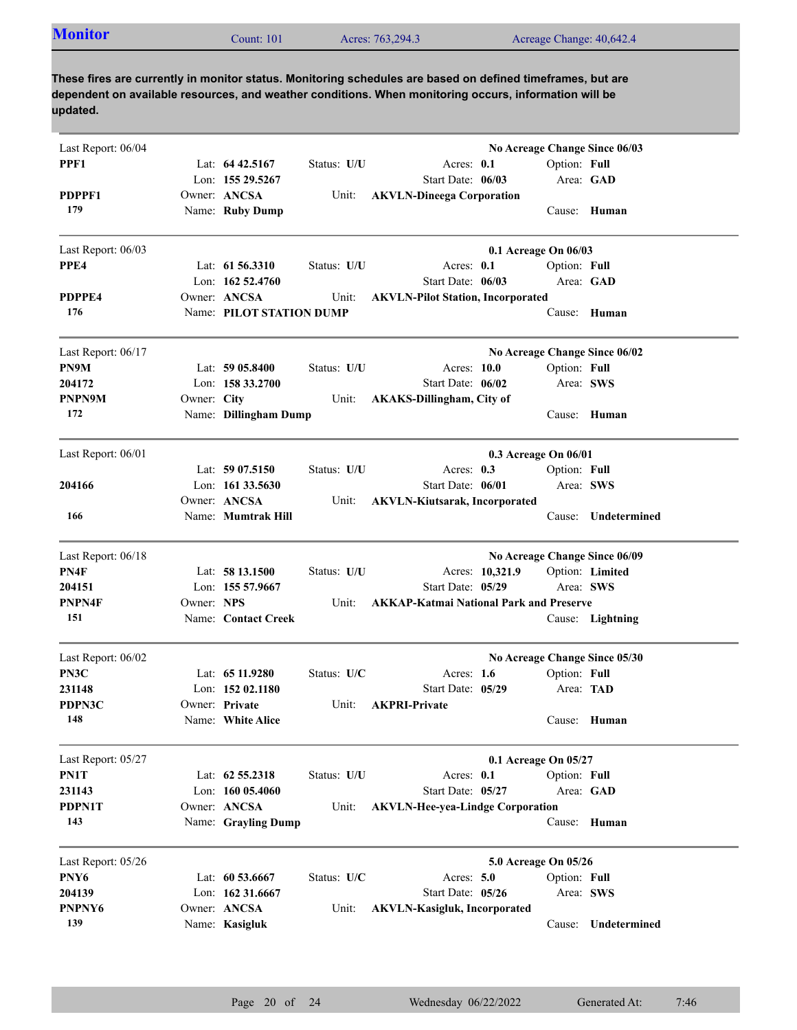| <b>Monitor</b> | $\text{Count}: 101$ | Acres: 763,294.3 | Acreage Change: 40,642.4 |
|----------------|---------------------|------------------|--------------------------|
|                |                     |                  |                          |

| Last Report: 06/04 |             |                          |             |                                                | No Acreage Change Since 06/03 |                     |
|--------------------|-------------|--------------------------|-------------|------------------------------------------------|-------------------------------|---------------------|
| PPF1               |             | Lat: 64 42.5167          | Status: U/U | Acres: 0.1                                     | Option: Full                  |                     |
|                    |             | Lon: 155 29.5267         |             | Start Date: 06/03                              |                               | Area: GAD           |
| PDPPF1             |             | Owner: ANCSA             | Unit:       | <b>AKVLN-Dineega Corporation</b>               |                               |                     |
| 179                |             | Name: Ruby Dump          |             |                                                |                               | Cause: Human        |
| Last Report: 06/03 |             |                          |             |                                                | 0.1 Acreage On 06/03          |                     |
| PPE4               |             | Lat: $61\,56.3310$       | Status: U/U | Acres: 0.1                                     | Option: Full                  |                     |
|                    |             | Lon: 162 52.4760         |             | Start Date: 06/03                              |                               | Area: GAD           |
| PDPPE4             |             | Owner: ANCSA             | Unit:       | <b>AKVLN-Pilot Station, Incorporated</b>       |                               |                     |
| 176                |             | Name: PILOT STATION DUMP |             |                                                | Cause:                        | Human               |
| Last Report: 06/17 |             |                          |             |                                                | No Acreage Change Since 06/02 |                     |
| PN9M               |             | Lat: $5905.8400$         | Status: U/U | Acres: 10.0                                    | Option: Full                  |                     |
| 204172             |             | Lon: $15833.2700$        |             | Start Date: 06/02                              |                               | Area: SWS           |
| PNPN9M             | Owner: City |                          | Unit:       | <b>AKAKS-Dillingham, City of</b>               |                               |                     |
| 172                |             | Name: Dillingham Dump    |             |                                                |                               | Cause: Human        |
| Last Report: 06/01 |             |                          |             |                                                | 0.3 Acreage On 06/01          |                     |
|                    |             | Lat: $5907.5150$         | Status: U/U | Acres: $0.3$                                   | Option: Full                  |                     |
| 204166             |             | Lon: $16133.5630$        |             | Start Date: 06/01                              | Area: SWS                     |                     |
|                    |             | Owner: ANCSA             | Unit:       | <b>AKVLN-Kiutsarak, Incorporated</b>           |                               |                     |
| 166                |             | Name: Mumtrak Hill       |             |                                                | Cause:                        | Undetermined        |
| Last Report: 06/18 |             |                          |             |                                                | No Acreage Change Since 06/09 |                     |
| PN4F               |             | Lat: 58 13.1500          | Status: U/U | Acres: 10,321.9                                |                               | Option: Limited     |
| 204151             |             | Lon: 155 57.9667         |             | Start Date: 05/29                              | Area: SWS                     |                     |
| PNPN4F             | Owner: NPS  |                          | Unit:       | <b>AKKAP-Katmai National Park and Preserve</b> |                               |                     |
| 151                |             | Name: Contact Creek      |             |                                                |                               | Cause: Lightning    |
|                    |             |                          |             |                                                |                               |                     |
| PN3C               |             | Lat: 65 11.9280          | Status: U/C | Acres: $1.6$                                   | Option: Full                  |                     |
| 231148             |             | Lon: $15202.1180$        |             | Start Date: 05/29                              | Area: TAD                     |                     |
| PDPN3C             |             | Owner: Private           | Unit:       | <b>AKPRI-Private</b>                           |                               |                     |
| 148                |             | Name: White Alice        |             |                                                |                               | Cause: Human        |
| Last Report: 05/27 |             |                          |             |                                                | 0.1 Acreage On 05/27          |                     |
| PN1T               |             | Lat: 62 55.2318          | Status: U/U | Acres: 0.1                                     | Option: Full                  |                     |
| 231143             |             | Lon: 160 05.4060         |             | Start Date: 05/27                              |                               | Area: GAD           |
| PDPN1T             |             | Owner: ANCSA             | Unit:       | <b>AKVLN-Hee-yea-Lindge Corporation</b>        |                               |                     |
| 143                |             | Name: Grayling Dump      |             |                                                |                               | Cause: Human        |
| Last Report: 05/26 |             |                          |             |                                                | 5.0 Acreage On 05/26          |                     |
| PNY6               |             | Lat: 60 53.6667          | Status: U/C | Acres: 5.0                                     | Option: Full                  |                     |
| 204139             |             | Lon: 162 31.6667         |             | Start Date: 05/26                              | Area: SWS                     |                     |
| PNPNY6             |             | Owner: ANCSA             | Unit:       | <b>AKVLN-Kasigluk, Incorporated</b>            |                               |                     |
| 139                |             | Name: Kasigluk           |             |                                                |                               | Cause: Undetermined |
| Last Report: 06/02 |             |                          |             |                                                | No Acreage Change Since 05/30 |                     |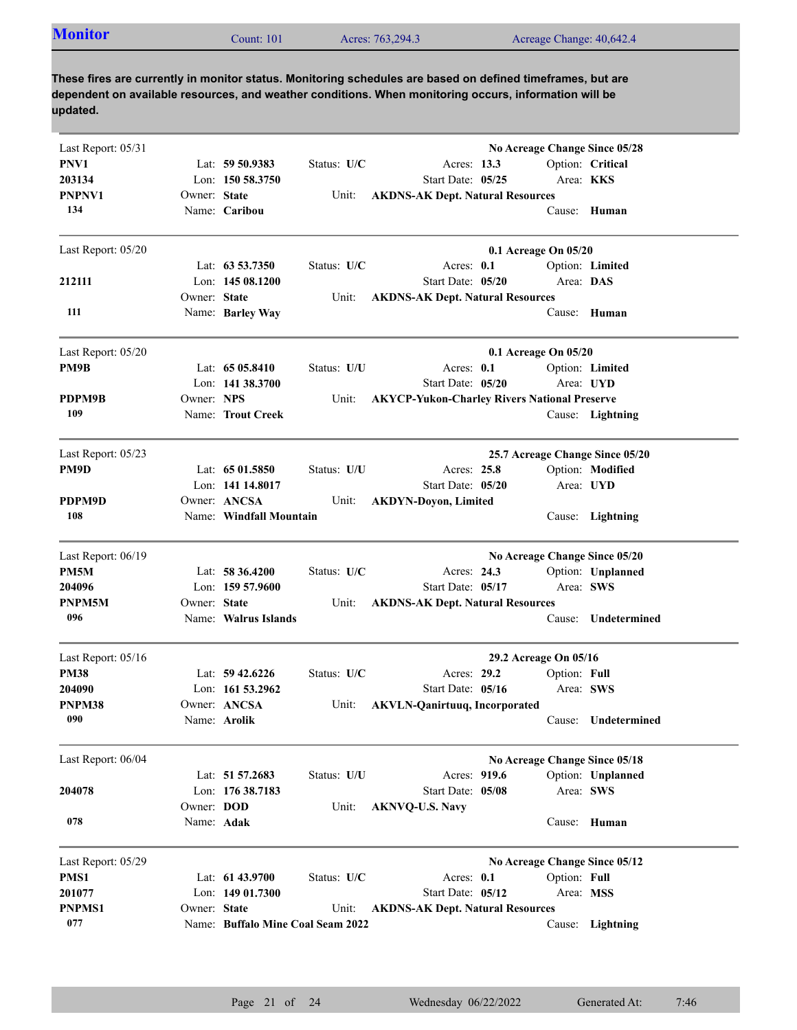| <b>Monitor</b><br>Acres: 763,294.3<br>Count: $101$<br>Acreage Change: 40,642.4 |
|--------------------------------------------------------------------------------|
|--------------------------------------------------------------------------------|

| Last Report: 05/31 |              |                                   |             |                                                     |                       |              | No Acreage Change Since 05/28   |
|--------------------|--------------|-----------------------------------|-------------|-----------------------------------------------------|-----------------------|--------------|---------------------------------|
| PNV1               |              | Lat: $59\,50.9383$                | Status: U/C | Acres: 13.3                                         |                       |              | Option: Critical                |
| 203134             |              | Lon: 150 58.3750                  |             | Start Date: 05/25                                   |                       |              | Area: KKS                       |
| <b>PNPNV1</b>      | Owner: State |                                   | Unit:       | <b>AKDNS-AK Dept. Natural Resources</b>             |                       |              |                                 |
| 134                |              | Name: Caribou                     |             |                                                     |                       |              | Cause: Human                    |
| Last Report: 05/20 |              |                                   |             |                                                     | 0.1 Acreage On 05/20  |              |                                 |
|                    |              | Lat: 63 53.7350                   | Status: U/C | Acres: 0.1                                          |                       |              | Option: Limited                 |
| 212111             |              | Lon: $14508.1200$                 |             | Start Date: 05/20                                   |                       | Area: DAS    |                                 |
|                    | Owner: State |                                   | Unit:       | <b>AKDNS-AK Dept. Natural Resources</b>             |                       |              |                                 |
| 111                |              | Name: Barley Way                  |             |                                                     |                       |              | Cause: Human                    |
| Last Report: 05/20 |              |                                   |             |                                                     | 0.1 Acreage On 05/20  |              |                                 |
| PM9B               |              | Lat: $6505.8410$                  | Status: U/U | Acres: 0.1                                          |                       |              | Option: Limited                 |
|                    |              | Lon: 141 38.3700                  |             | Start Date: 05/20                                   |                       |              | Area: UYD                       |
| PDPM9B             | Owner: NPS   |                                   | Unit:       | <b>AKYCP-Yukon-Charley Rivers National Preserve</b> |                       |              |                                 |
| 109                |              | Name: Trout Creek                 |             |                                                     |                       |              | Cause: Lightning                |
| Last Report: 05/23 |              |                                   |             |                                                     |                       |              | 25.7 Acreage Change Since 05/20 |
| PM9D               |              | Lat: $6501.5850$                  | Status: U/U | Acres: 25.8                                         |                       |              | Option: Modified                |
|                    |              | Lon: 141 14.8017                  |             | Start Date: 05/20                                   |                       |              | Area: UYD                       |
| PDPM9D             |              | Owner: ANCSA                      | Unit:       | <b>AKDYN-Doyon, Limited</b>                         |                       |              |                                 |
| 108                |              | Name: Windfall Mountain           |             |                                                     |                       |              | Cause: Lightning                |
| Last Report: 06/19 |              |                                   |             |                                                     |                       |              | No Acreage Change Since 05/20   |
| PM5M               |              | Lat: $58\,36.4200$                | Status: U/C | Acres: 24.3                                         |                       |              | Option: Unplanned               |
| 204096             |              | Lon: $15957.9600$                 |             | Start Date: 05/17                                   |                       |              | Area: SWS                       |
| PNPM5M             | Owner: State |                                   | Unit:       | <b>AKDNS-AK Dept. Natural Resources</b>             |                       |              |                                 |
| 096                |              | Name: Walrus Islands              |             |                                                     |                       | Cause:       | Undetermined                    |
| Last Report: 05/16 |              |                                   |             |                                                     | 29.2 Acreage On 05/16 |              |                                 |
| <b>PM38</b>        |              | Lat: $59\,42.6226$                | Status: U/C | Acres: 29.2                                         |                       | Option: Full |                                 |
| 204090             |              | Lon: $161\,53.2962$               |             | Start Date: 05/16                                   |                       | Area: SWS    |                                 |
| PNPM38             |              | Owner: ANCSA                      | Unit:       | <b>AKVLN-Qanirtuuq, Incorporated</b>                |                       |              |                                 |
| 090                |              | Name: Arolik                      |             |                                                     |                       |              | Cause: Undetermined             |
| Last Report: 06/04 |              |                                   |             |                                                     |                       |              | No Acreage Change Since 05/18   |
|                    |              | Lat: 51 57.2683                   | Status: U/U | Acres: 919.6                                        |                       |              | Option: Unplanned               |
| 204078             |              | Lon: 176 38.7183                  |             | Start Date: 05/08                                   |                       |              | Area: SWS                       |
|                    | Owner: DOD   |                                   | Unit:       | <b>AKNVQ-U.S. Navy</b>                              |                       |              |                                 |
| 078                | Name: Adak   |                                   |             |                                                     |                       |              | Cause: Human                    |
| Last Report: 05/29 |              |                                   |             |                                                     |                       |              | No Acreage Change Since 05/12   |
| PMS1               |              | Lat: 61 43.9700                   | Status: U/C | Acres: 0.1                                          |                       | Option: Full |                                 |
| 201077             |              | Lon: 149 01.7300                  |             | Start Date: 05/12                                   |                       | Area: MSS    |                                 |
| PNPMS1             | Owner: State |                                   | Unit:       | <b>AKDNS-AK Dept. Natural Resources</b>             |                       |              |                                 |
| 077                |              | Name: Buffalo Mine Coal Seam 2022 |             |                                                     |                       |              | Cause: Lightning                |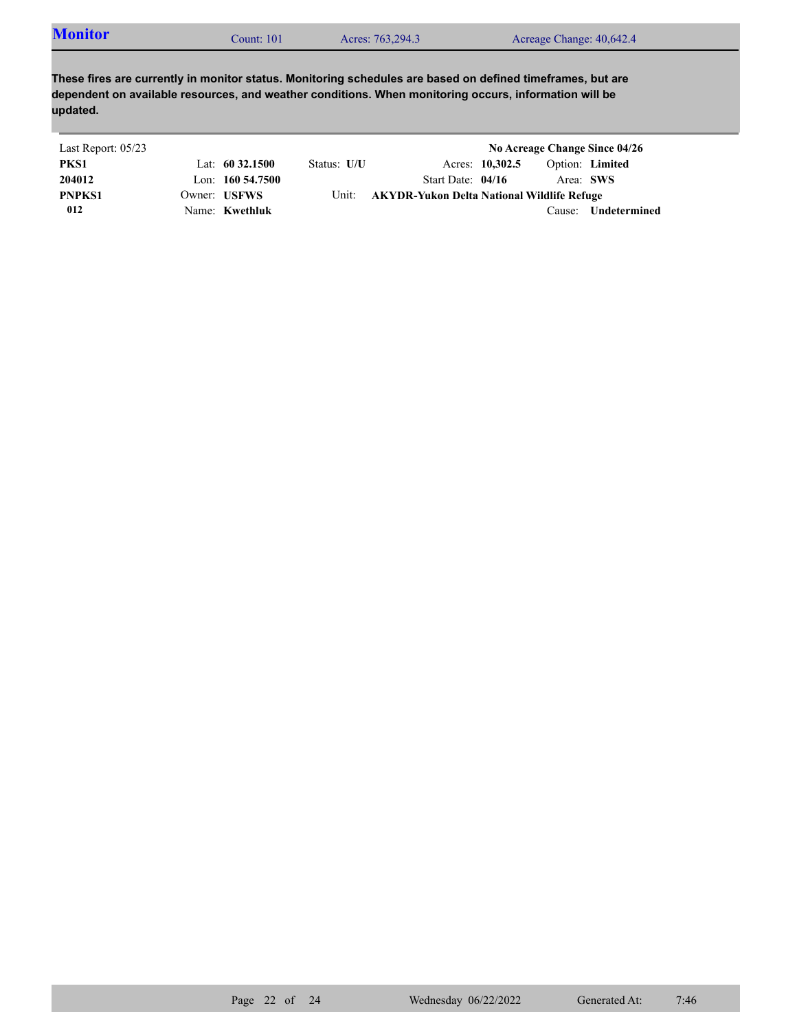| <b>Monitor</b><br>Acres: 763,294.3<br>Acreage Change: 40,642.4<br>Count: $101$ |  |
|--------------------------------------------------------------------------------|--|
|--------------------------------------------------------------------------------|--|

| Last Report: 05/23 |                     |             |                                            |                 |           | No Acreage Change Since 04/26 |
|--------------------|---------------------|-------------|--------------------------------------------|-----------------|-----------|-------------------------------|
| PKS1               | Lat: $60\,32.1500$  | Status: U/U |                                            | Acres: 10,302.5 |           | Option: Limited               |
| 204012             | Lon: $160\,54.7500$ |             | Start Date: 04/16                          |                 | Area: SWS |                               |
| <b>PNPKS1</b>      | Owner: USFWS        | Unit:       | AKYDR-Yukon Delta National Wildlife Refuge |                 |           |                               |
| 012                | Name: Kwethluk      |             |                                            |                 | Cause:    | <b>Undetermined</b>           |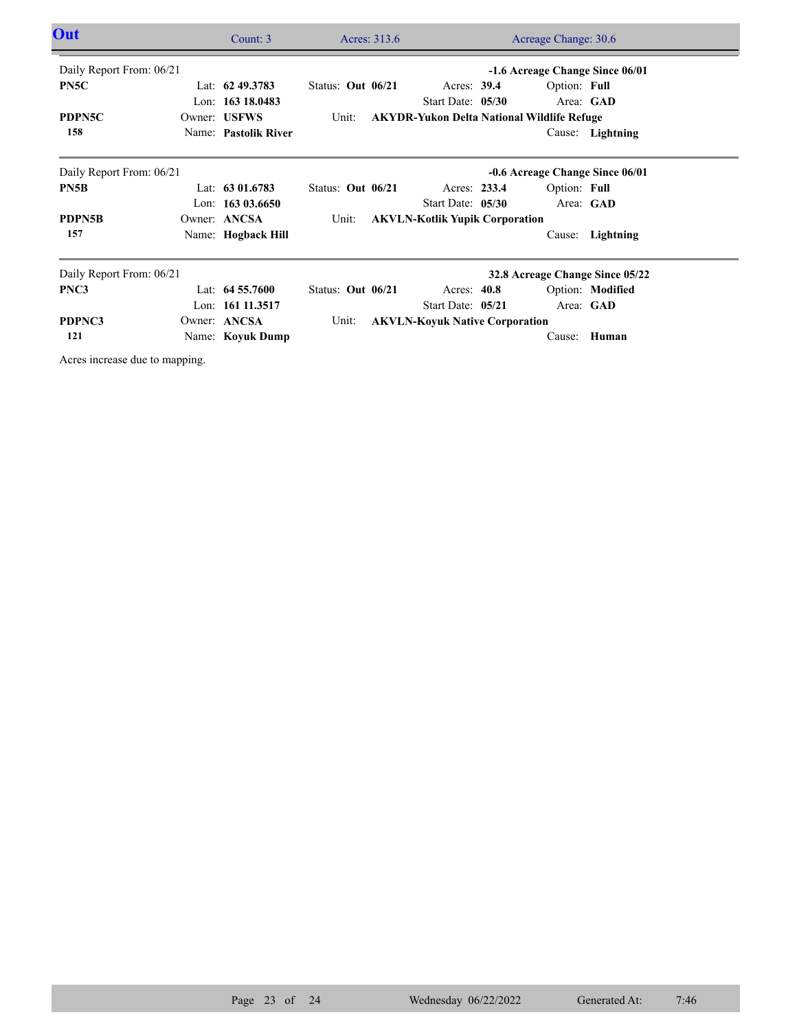| <b>Out</b>               |  | Count: 3             |                     | Acres: 313.6<br>Acreage Change: 30.6  |                                                   |  |              |                                 |  |
|--------------------------|--|----------------------|---------------------|---------------------------------------|---------------------------------------------------|--|--------------|---------------------------------|--|
| Daily Report From: 06/21 |  |                      |                     |                                       |                                                   |  |              | -1.6 Acreage Change Since 06/01 |  |
| PN5C                     |  | Lat: $62\,49.3783$   | Status: Out $06/21$ |                                       | Acres: $39.4$                                     |  | Option: Full |                                 |  |
|                          |  | Lon: 163 18.0483     |                     |                                       | Start Date: 05/30                                 |  |              | Area: GAD                       |  |
| PDPN5C                   |  | Owner: USFWS         | Unit:               |                                       | <b>AKYDR-Yukon Delta National Wildlife Refuge</b> |  |              |                                 |  |
| 158                      |  | Name: Pastolik River |                     |                                       |                                                   |  |              | Cause: Lightning                |  |
| Daily Report From: 06/21 |  |                      |                     |                                       |                                                   |  |              | -0.6 Acreage Change Since 06/01 |  |
| PN5B                     |  | Lat: $6301.6783$     | Status: Out 06/21   |                                       | Acres: 233.4                                      |  | Option: Full |                                 |  |
|                          |  | Lon: $16303.6650$    |                     |                                       | Start Date: 05/30                                 |  |              | Area: GAD                       |  |
| <b>PDPN5B</b>            |  | Owner: ANCSA         | Unit:               | <b>AKVLN-Kotlik Yupik Corporation</b> |                                                   |  |              |                                 |  |
| 157                      |  | Name: Hogback Hill   |                     |                                       |                                                   |  |              | Cause: Lightning                |  |
| Daily Report From: 06/21 |  |                      |                     | 32.8 Acreage Change Since 05/22       |                                                   |  |              |                                 |  |
| PNC3                     |  | Lat: $64\,55.7600$   | Status: Out 06/21   |                                       | Acres: $40.8$                                     |  |              | Option: Modified                |  |
|                          |  | Lon: 161 11.3517     |                     |                                       | Start Date: 05/21                                 |  |              | Area: GAD                       |  |
| PDPNC3                   |  | Owner: ANCSA         | Unit:               | <b>AKVLN-Koyuk Native Corporation</b> |                                                   |  |              |                                 |  |
| 121                      |  | Name: Koyuk Dump     |                     |                                       |                                                   |  |              | Cause: Human                    |  |

Acres increase due to mapping.